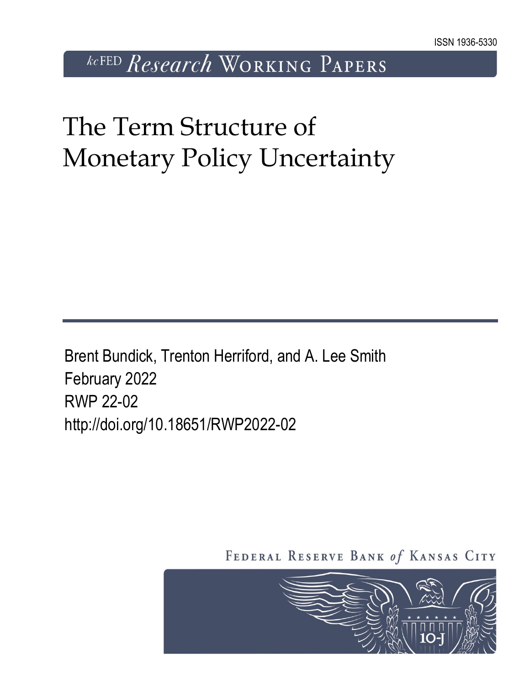*kcFED Research* WORKING PAPERS

# The Term Structure of Monetary Policy Uncertainty

Brent Bundick, Trenton Herriford, and A. Lee Smith February 2022 RWP 22-02 http://doi.org/10.18651/RWP2022-02

FEDERAL RESERVE BANK of KANSAS CITY

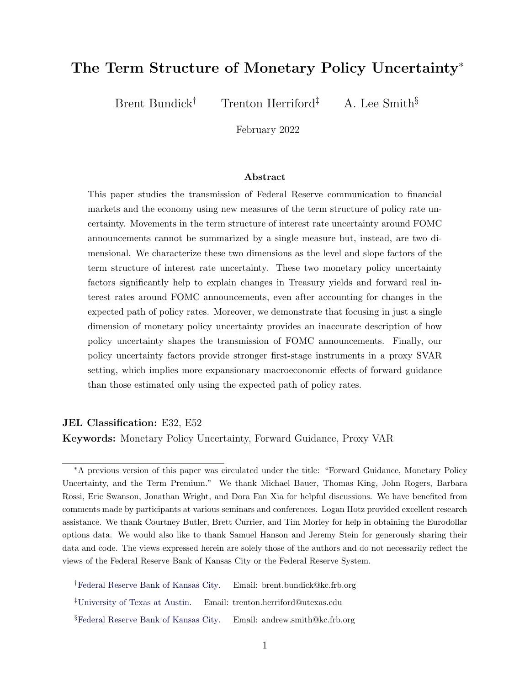### The Term Structure of Monetary Policy Uncertainty<sup>∗</sup>

Brent Bundick<sup>†</sup> Trenton Herriford<sup>‡</sup> A. Lee Smith<sup>§</sup>

February 2022

#### Abstract

This paper studies the transmission of Federal Reserve communication to financial markets and the economy using new measures of the term structure of policy rate uncertainty. Movements in the term structure of interest rate uncertainty around FOMC announcements cannot be summarized by a single measure but, instead, are two dimensional. We characterize these two dimensions as the level and slope factors of the term structure of interest rate uncertainty. These two monetary policy uncertainty factors significantly help to explain changes in Treasury yields and forward real interest rates around FOMC announcements, even after accounting for changes in the expected path of policy rates. Moreover, we demonstrate that focusing in just a single dimension of monetary policy uncertainty provides an inaccurate description of how policy uncertainty shapes the transmission of FOMC announcements. Finally, our policy uncertainty factors provide stronger first-stage instruments in a proxy SVAR setting, which implies more expansionary macroeconomic effects of forward guidance than those estimated only using the expected path of policy rates.

#### JEL Classification: E32, E52

Keywords: Monetary Policy Uncertainty, Forward Guidance, Proxy VAR

<sup>∗</sup>A previous version of this paper was circulated under the title: "Forward Guidance, Monetary Policy Uncertainty, and the Term Premium." We thank Michael Bauer, Thomas King, John Rogers, Barbara Rossi, Eric Swanson, Jonathan Wright, and Dora Fan Xia for helpful discussions. We have benefited from comments made by participants at various seminars and conferences. Logan Hotz provided excellent research assistance. We thank Courtney Butler, Brett Currier, and Tim Morley for help in obtaining the Eurodollar options data. We would also like to thank Samuel Hanson and Jeremy Stein for generously sharing their data and code. The views expressed herein are solely those of the authors and do not necessarily reflect the views of the Federal Reserve Bank of Kansas City or the Federal Reserve System.

<sup>†</sup>[Federal Reserve Bank of Kansas City.](https://www.kansascityfed.org/people/brentbundick) Email: brent.bundick@kc.frb.org

<sup>‡</sup>[University of Texas at Austin.](https://sites.google.com/view/trentonherriford) Email: trenton.herriford@utexas.edu

<sup>§</sup>[Federal Reserve Bank of Kansas City.](https://www.kansascityfed.org/people/andrewleesmith) Email: andrew.smith@kc.frb.org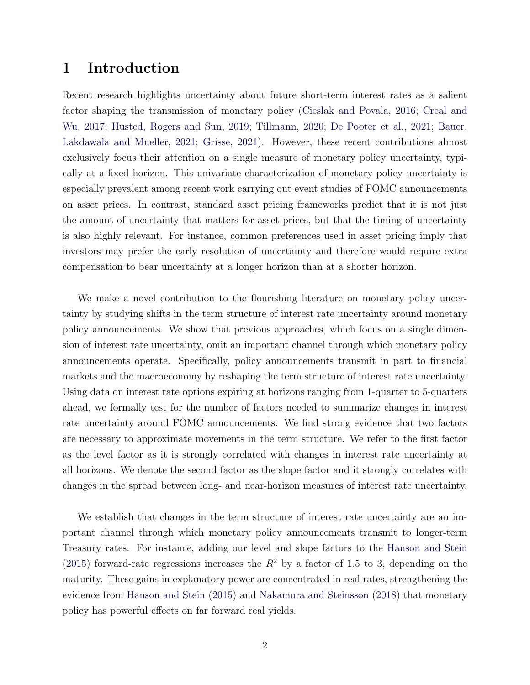#### 1 Introduction

Recent research highlights uncertainty about future short-term interest rates as a salient factor shaping the transmission of monetary policy [\(Cieslak and Povala,](#page-29-0) [2016;](#page-29-0) [Creal and](#page-29-1) [Wu,](#page-29-1) [2017;](#page-29-1) [Husted, Rogers and Sun,](#page-30-0) [2019;](#page-30-0) [Tillmann,](#page-31-0) [2020;](#page-31-0) [De Pooter et al.,](#page-29-2) [2021;](#page-29-2) [Bauer,](#page-29-3) [Lakdawala and Mueller,](#page-29-3) [2021;](#page-29-3) [Grisse,](#page-30-1) [2021\)](#page-30-1). However, these recent contributions almost exclusively focus their attention on a single measure of monetary policy uncertainty, typically at a fixed horizon. This univariate characterization of monetary policy uncertainty is especially prevalent among recent work carrying out event studies of FOMC announcements on asset prices. In contrast, standard asset pricing frameworks predict that it is not just the amount of uncertainty that matters for asset prices, but that the timing of uncertainty is also highly relevant. For instance, common preferences used in asset pricing imply that investors may prefer the early resolution of uncertainty and therefore would require extra compensation to bear uncertainty at a longer horizon than at a shorter horizon.

We make a novel contribution to the flourishing literature on monetary policy uncertainty by studying shifts in the term structure of interest rate uncertainty around monetary policy announcements. We show that previous approaches, which focus on a single dimension of interest rate uncertainty, omit an important channel through which monetary policy announcements operate. Specifically, policy announcements transmit in part to financial markets and the macroeconomy by reshaping the term structure of interest rate uncertainty. Using data on interest rate options expiring at horizons ranging from 1-quarter to 5-quarters ahead, we formally test for the number of factors needed to summarize changes in interest rate uncertainty around FOMC announcements. We find strong evidence that two factors are necessary to approximate movements in the term structure. We refer to the first factor as the level factor as it is strongly correlated with changes in interest rate uncertainty at all horizons. We denote the second factor as the slope factor and it strongly correlates with changes in the spread between long- and near-horizon measures of interest rate uncertainty.

We establish that changes in the term structure of interest rate uncertainty are an important channel through which monetary policy announcements transmit to longer-term Treasury rates. For instance, adding our level and slope factors to the [Hanson and Stein](#page-30-2) [\(2015\)](#page-30-2) forward-rate regressions increases the  $R^2$  by a factor of 1.5 to 3, depending on the maturity. These gains in explanatory power are concentrated in real rates, strengthening the evidence from [Hanson and Stein](#page-30-2) [\(2015\)](#page-30-2) and [Nakamura and Steinsson](#page-31-1) [\(2018\)](#page-31-1) that monetary policy has powerful effects on far forward real yields.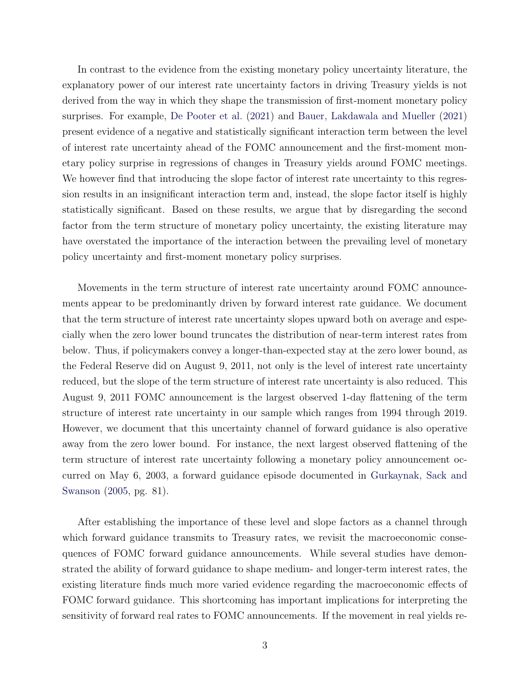In contrast to the evidence from the existing monetary policy uncertainty literature, the explanatory power of our interest rate uncertainty factors in driving Treasury yields is not derived from the way in which they shape the transmission of first-moment monetary policy surprises. For example, [De Pooter et al.](#page-29-2) [\(2021\)](#page-29-2) and [Bauer, Lakdawala and Mueller](#page-29-3) [\(2021\)](#page-29-3) present evidence of a negative and statistically significant interaction term between the level of interest rate uncertainty ahead of the FOMC announcement and the first-moment monetary policy surprise in regressions of changes in Treasury yields around FOMC meetings. We however find that introducing the slope factor of interest rate uncertainty to this regression results in an insignificant interaction term and, instead, the slope factor itself is highly statistically significant. Based on these results, we argue that by disregarding the second factor from the term structure of monetary policy uncertainty, the existing literature may have overstated the importance of the interaction between the prevailing level of monetary policy uncertainty and first-moment monetary policy surprises.

Movements in the term structure of interest rate uncertainty around FOMC announcements appear to be predominantly driven by forward interest rate guidance. We document that the term structure of interest rate uncertainty slopes upward both on average and especially when the zero lower bound truncates the distribution of near-term interest rates from below. Thus, if policymakers convey a longer-than-expected stay at the zero lower bound, as the Federal Reserve did on August 9, 2011, not only is the level of interest rate uncertainty reduced, but the slope of the term structure of interest rate uncertainty is also reduced. This August 9, 2011 FOMC announcement is the largest observed 1-day flattening of the term structure of interest rate uncertainty in our sample which ranges from 1994 through 2019. However, we document that this uncertainty channel of forward guidance is also operative away from the zero lower bound. For instance, the next largest observed flattening of the term structure of interest rate uncertainty following a monetary policy announcement occurred on May 6, 2003, a forward guidance episode documented in [Gurkaynak, Sack and](#page-30-3) [Swanson](#page-30-3) [\(2005,](#page-30-3) pg. 81).

After establishing the importance of these level and slope factors as a channel through which forward guidance transmits to Treasury rates, we revisit the macroeconomic consequences of FOMC forward guidance announcements. While several studies have demonstrated the ability of forward guidance to shape medium- and longer-term interest rates, the existing literature finds much more varied evidence regarding the macroeconomic effects of FOMC forward guidance. This shortcoming has important implications for interpreting the sensitivity of forward real rates to FOMC announcements. If the movement in real yields re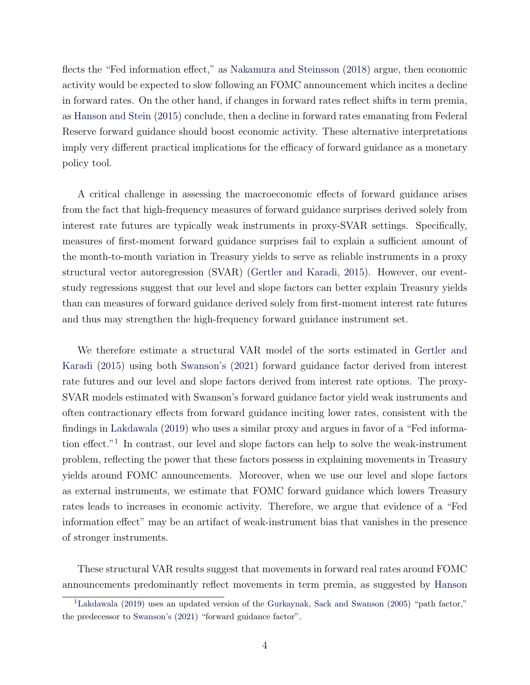flects the "Fed information effect," as [Nakamura and Steinsson](#page-31-1) [\(2018\)](#page-31-1) argue, then economic activity would be expected to slow following an FOMC announcement which incites a decline in forward rates. On the other hand, if changes in forward rates reflect shifts in term premia, as [Hanson and Stein](#page-30-2) [\(2015\)](#page-30-2) conclude, then a decline in forward rates emanating from Federal Reserve forward guidance should boost economic activity. These alternative interpretations imply very different practical implications for the efficacy of forward guidance as a monetary policy tool.

A critical challenge in assessing the macroeconomic effects of forward guidance arises from the fact that high-frequency measures of forward guidance surprises derived solely from interest rate futures are typically weak instruments in proxy-SVAR settings. Specifically, measures of first-moment forward guidance surprises fail to explain a sufficient amount of the month-to-month variation in Treasury yields to serve as reliable instruments in a proxy structural vector autoregression (SVAR) [\(Gertler and Karadi,](#page-29-4) [2015\)](#page-29-4). However, our eventstudy regressions suggest that our level and slope factors can better explain Treasury yields than can measures of forward guidance derived solely from first-moment interest rate futures and thus may strengthen the high-frequency forward guidance instrument set.

We therefore estimate a structural VAR model of the sorts estimated in [Gertler and](#page-29-4) [Karadi](#page-29-4) [\(2015\)](#page-29-4) using both [Swanson's](#page-31-2) [\(2021\)](#page-31-2) forward guidance factor derived from interest rate futures and our level and slope factors derived from interest rate options. The proxy-SVAR models estimated with Swanson's forward guidance factor yield weak instruments and often contractionary effects from forward guidance inciting lower rates, consistent with the findings in [Lakdawala](#page-30-4) [\(2019\)](#page-30-4) who uses a similar proxy and argues in favor of a "Fed information effect."[1](#page-4-0) In contrast, our level and slope factors can help to solve the weak-instrument problem, reflecting the power that these factors possess in explaining movements in Treasury yields around FOMC announcements. Moreover, when we use our level and slope factors as external instruments, we estimate that FOMC forward guidance which lowers Treasury rates leads to increases in economic activity. Therefore, we argue that evidence of a "Fed information effect" may be an artifact of weak-instrument bias that vanishes in the presence of stronger instruments.

These structural VAR results suggest that movements in forward real rates around FOMC announcements predominantly reflect movements in term premia, as suggested by [Hanson](#page-30-2)

<span id="page-4-0"></span><sup>1</sup>[Lakdawala](#page-30-4) [\(2019\) uses an updated version of the](#page-30-2) [Gurkaynak, Sack and Swanson](#page-30-3) [\(2005\)](#page-30-3) "path factor," the predecessor to [Swanson's](#page-31-2) [\(2021\) "forward guidance factor".](#page-30-2)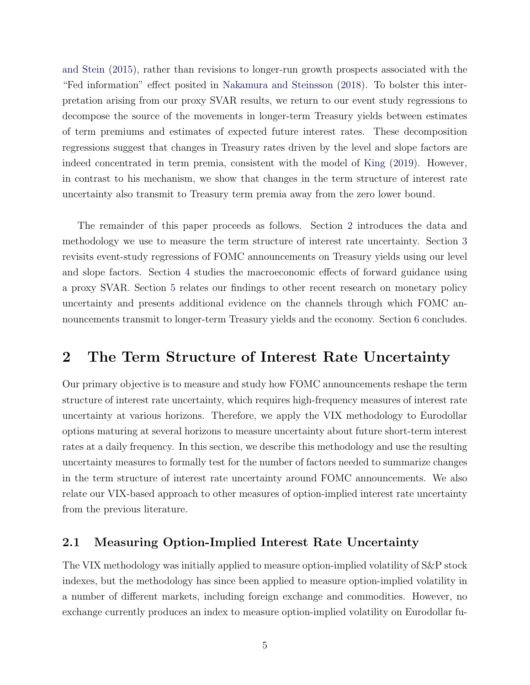[and Stein](#page-30-2) [\(2015\)](#page-30-2), rather than revisions to longer-run growth prospects associated with the "Fed information" effect posited in [Nakamura and Steinsson](#page-31-1) [\(2018\)](#page-31-1). To bolster this interpretation arising from our proxy SVAR results, we return to our event study regressions to decompose the source of the movements in longer-term Treasury yields between estimates of term premiums and estimates of expected future interest rates. These decomposition regressions suggest that changes in Treasury rates driven by the level and slope factors are indeed concentrated in term premia, consistent with the model of [King](#page-30-5) [\(2019\)](#page-30-5). However, in contrast to his mechanism, we show that changes in the term structure of interest rate uncertainty also transmit to Treasury term premia away from the zero lower bound.

The remainder of this paper proceeds as follows. Section [2](#page-5-0) introduces the data and methodology we use to measure the term structure of interest rate uncertainty. Section [3](#page-11-0) revisits event-study regressions of FOMC announcements on Treasury yields using our level and slope factors. Section [4](#page-19-0) studies the macroeconomic effects of forward guidance using a proxy SVAR. Section [5](#page-26-0) relates our findings to other recent research on monetary policy uncertainty and presents additional evidence on the channels through which FOMC announcements transmit to longer-term Treasury yields and the economy. Section [6](#page-28-0) concludes.

#### <span id="page-5-0"></span>2 The Term Structure of Interest Rate Uncertainty

Our primary objective is to measure and study how FOMC announcements reshape the term structure of interest rate uncertainty, which requires high-frequency measures of interest rate uncertainty at various horizons. Therefore, we apply the VIX methodology to Eurodollar options maturing at several horizons to measure uncertainty about future short-term interest rates at a daily frequency. In this section, we describe this methodology and use the resulting uncertainty measures to formally test for the number of factors needed to summarize changes in the term structure of interest rate uncertainty around FOMC announcements. We also relate our VIX-based approach to other measures of option-implied interest rate uncertainty from the previous literature.

#### 2.1 Measuring Option-Implied Interest Rate Uncertainty

The VIX methodology was initially applied to measure option-implied volatility of S&P stock indexes, but the methodology has since been applied to measure option-implied volatility in a number of different markets, including foreign exchange and commodities. However, no exchange currently produces an index to measure option-implied volatility on Eurodollar fu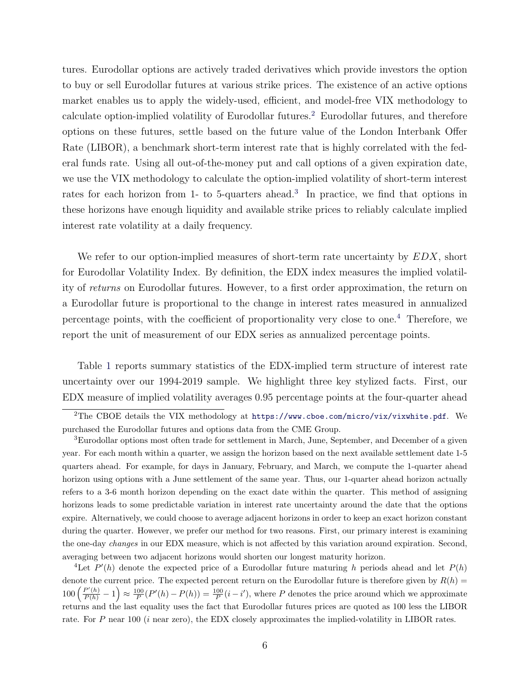tures. Eurodollar options are actively traded derivatives which provide investors the option to buy or sell Eurodollar futures at various strike prices. The existence of an active options market enables us to apply the widely-used, efficient, and model-free VIX methodology to calculate option-implied volatility of Eurodollar futures.<sup>[2](#page-6-0)</sup> Eurodollar futures, and therefore options on these futures, settle based on the future value of the London Interbank Offer Rate (LIBOR), a benchmark short-term interest rate that is highly correlated with the federal funds rate. Using all out-of-the-money put and call options of a given expiration date, we use the VIX methodology to calculate the option-implied volatility of short-term interest rates for each horizon from 1- to 5-quarters ahead.<sup>[3](#page-6-1)</sup> In practice, we find that options in these horizons have enough liquidity and available strike prices to reliably calculate implied interest rate volatility at a daily frequency.

We refer to our option-implied measures of short-term rate uncertainty by  $EDX$ , short for Eurodollar Volatility Index. By definition, the EDX index measures the implied volatility of returns on Eurodollar futures. However, to a first order approximation, the return on a Eurodollar future is proportional to the change in interest rates measured in annualized percentage points, with the coefficient of proportionality very close to one.[4](#page-6-2) Therefore, we report the unit of measurement of our EDX series as annualized percentage points.

Table [1](#page-32-0) reports summary statistics of the EDX-implied term structure of interest rate uncertainty over our 1994-2019 sample. We highlight three key stylized facts. First, our EDX measure of implied volatility averages 0.95 percentage points at the four-quarter ahead

<span id="page-6-0"></span><sup>&</sup>lt;sup>2</sup>The CBOE details the VIX methodology at <https://www.cboe.com/micro/vix/vixwhite.pdf>. We purchased the Eurodollar futures and options data from the CME Group.

<span id="page-6-1"></span><sup>3</sup>Eurodollar options most often trade for settlement in March, June, September, and December of a given year. For each month within a quarter, we assign the horizon based on the next available settlement date 1-5 quarters ahead. For example, for days in January, February, and March, we compute the 1-quarter ahead horizon using options with a June settlement of the same year. Thus, our 1-quarter ahead horizon actually refers to a 3-6 month horizon depending on the exact date within the quarter. This method of assigning horizons leads to some predictable variation in interest rate uncertainty around the date that the options expire. Alternatively, we could choose to average adjacent horizons in order to keep an exact horizon constant during the quarter. However, we prefer our method for two reasons. First, our primary interest is examining the one-day changes in our EDX measure, which is not affected by this variation around expiration. Second, averaging between two adjacent horizons would shorten our longest maturity horizon.

<span id="page-6-2"></span><sup>&</sup>lt;sup>4</sup>Let  $P'(h)$  denote the expected price of a Eurodollar future maturing h periods ahead and let  $P(h)$ denote the current price. The expected percent return on the Eurodollar future is therefore given by  $R(h)$  =  $100\left(\frac{P'(h)}{P(h)}-1\right) \approx \frac{100}{P}(P'(h)-P(h)) = \frac{100}{P}(i-i')$ , where P denotes the price around which we approximate returns and the last equality uses the fact that Eurodollar futures prices are quoted as 100 less the LIBOR rate. For P near 100 (*i* near zero), the EDX closely approximates the implied-volatility in LIBOR rates.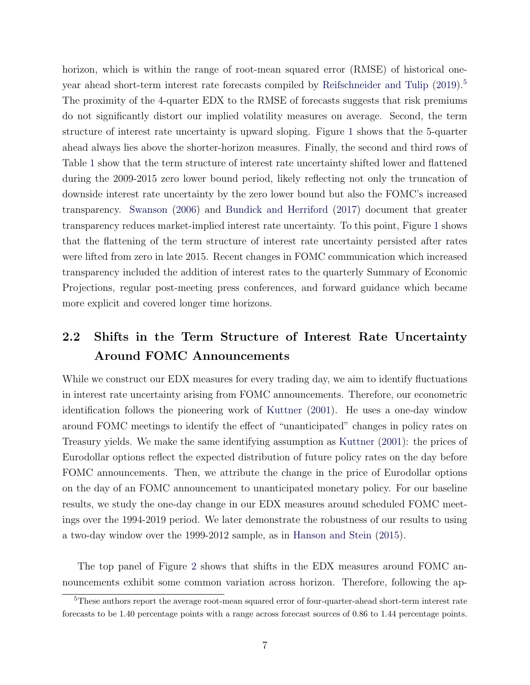horizon, which is within the range of root-mean squared error (RMSE) of historical one-year ahead short-term interest rate forecasts compiled by [Reifschneider and Tulip](#page-31-3) [\(2019\)](#page-31-3).<sup>[5](#page-7-0)</sup> The proximity of the 4-quarter EDX to the RMSE of forecasts suggests that risk premiums do not significantly distort our implied volatility measures on average. Second, the term structure of interest rate uncertainty is upward sloping. Figure [1](#page-39-0) shows that the 5-quarter ahead always lies above the shorter-horizon measures. Finally, the second and third rows of Table [1](#page-32-0) show that the term structure of interest rate uncertainty shifted lower and flattened during the 2009-2015 zero lower bound period, likely reflecting not only the truncation of downside interest rate uncertainty by the zero lower bound but also the FOMC's increased transparency. [Swanson](#page-31-4) [\(2006\)](#page-31-4) and [Bundick and Herriford](#page-29-5) [\(2017\)](#page-29-5) document that greater transparency reduces market-implied interest rate uncertainty. To this point, Figure [1](#page-39-0) shows that the flattening of the term structure of interest rate uncertainty persisted after rates were lifted from zero in late 2015. Recent changes in FOMC communication which increased transparency included the addition of interest rates to the quarterly Summary of Economic Projections, regular post-meeting press conferences, and forward guidance which became more explicit and covered longer time horizons.

### 2.2 Shifts in the Term Structure of Interest Rate Uncertainty Around FOMC Announcements

While we construct our EDX measures for every trading day, we aim to identify fluctuations in interest rate uncertainty arising from FOMC announcements. Therefore, our econometric identification follows the pioneering work of [Kuttner](#page-30-6) [\(2001\)](#page-30-6). He uses a one-day window around FOMC meetings to identify the effect of "unanticipated" changes in policy rates on Treasury yields. We make the same identifying assumption as [Kuttner](#page-30-6) [\(2001\)](#page-30-6): the prices of Eurodollar options reflect the expected distribution of future policy rates on the day before FOMC announcements. Then, we attribute the change in the price of Eurodollar options on the day of an FOMC announcement to unanticipated monetary policy. For our baseline results, we study the one-day change in our EDX measures around scheduled FOMC meetings over the 1994-2019 period. We later demonstrate the robustness of our results to using a two-day window over the 1999-2012 sample, as in [Hanson and Stein](#page-30-2) [\(2015\)](#page-30-2).

The top panel of Figure [2](#page-40-0) shows that shifts in the EDX measures around FOMC announcements exhibit some common variation across horizon. Therefore, following the ap-

<span id="page-7-0"></span><sup>5</sup>These authors report the average root-mean squared error of four-quarter-ahead short-term interest rate forecasts to be 1.40 percentage points with a range across forecast sources of 0.86 to 1.44 percentage points.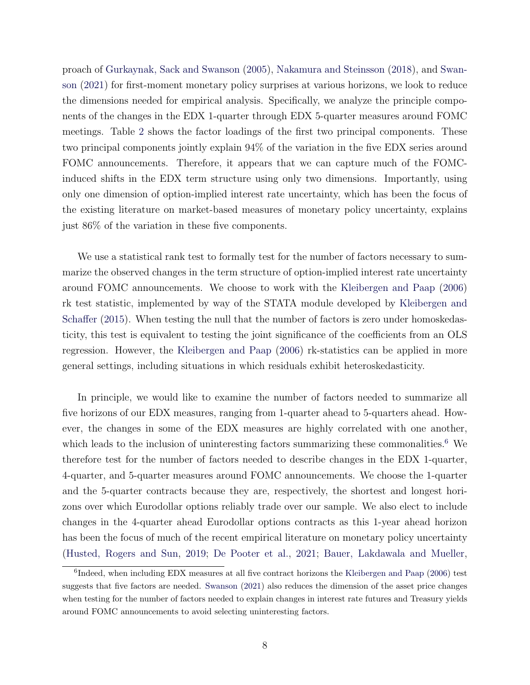proach of [Gurkaynak, Sack and Swanson](#page-30-3) [\(2005\)](#page-30-3), [Nakamura and Steinsson](#page-31-1) [\(2018\)](#page-31-1), and [Swan](#page-31-2)[son](#page-31-2) [\(2021\)](#page-31-2) for first-moment monetary policy surprises at various horizons, we look to reduce the dimensions needed for empirical analysis. Specifically, we analyze the principle components of the changes in the EDX 1-quarter through EDX 5-quarter measures around FOMC meetings. Table [2](#page-32-1) shows the factor loadings of the first two principal components. These two principal components jointly explain 94% of the variation in the five EDX series around FOMC announcements. Therefore, it appears that we can capture much of the FOMCinduced shifts in the EDX term structure using only two dimensions. Importantly, using only one dimension of option-implied interest rate uncertainty, which has been the focus of the existing literature on market-based measures of monetary policy uncertainty, explains just 86% of the variation in these five components.

We use a statistical rank test to formally test for the number of factors necessary to summarize the observed changes in the term structure of option-implied interest rate uncertainty around FOMC announcements. We choose to work with the [Kleibergen and Paap](#page-30-7) [\(2006\)](#page-30-7) rk test statistic, implemented by way of the STATA module developed by [Kleibergen and](#page-30-8) [Schaffer](#page-30-8) [\(2015\)](#page-30-8). When testing the null that the number of factors is zero under homoskedasticity, this test is equivalent to testing the joint significance of the coefficients from an OLS regression. However, the [Kleibergen and Paap](#page-30-7) [\(2006\)](#page-30-7) rk-statistics can be applied in more general settings, including situations in which residuals exhibit heteroskedasticity.

In principle, we would like to examine the number of factors needed to summarize all five horizons of our EDX measures, ranging from 1-quarter ahead to 5-quarters ahead. However, the changes in some of the EDX measures are highly correlated with one another, which leads to the inclusion of uninteresting factors summarizing these commonalities.<sup>[6](#page-8-0)</sup> We therefore test for the number of factors needed to describe changes in the EDX 1-quarter, 4-quarter, and 5-quarter measures around FOMC announcements. We choose the 1-quarter and the 5-quarter contracts because they are, respectively, the shortest and longest horizons over which Eurodollar options reliably trade over our sample. We also elect to include changes in the 4-quarter ahead Eurodollar options contracts as this 1-year ahead horizon has been the focus of much of the recent empirical literature on monetary policy uncertainty [\(Husted, Rogers and Sun,](#page-30-0) [2019;](#page-30-0) [De Pooter et al.,](#page-29-2) [2021;](#page-29-2) [Bauer, Lakdawala and Mueller,](#page-29-3)

<span id="page-8-0"></span><sup>&</sup>lt;sup>6</sup>Indeed, when including EDX measures at all five contract horizons the [Kleibergen and Paap](#page-30-7) [\(2006\)](#page-30-7) test suggests that five factors are needed. [Swanson](#page-31-2) [\(2021\)](#page-31-2) also reduces the dimension of the asset price changes when testing for the number of factors needed to explain changes in interest rate futures and Treasury yields around FOMC announcements to avoid selecting uninteresting factors.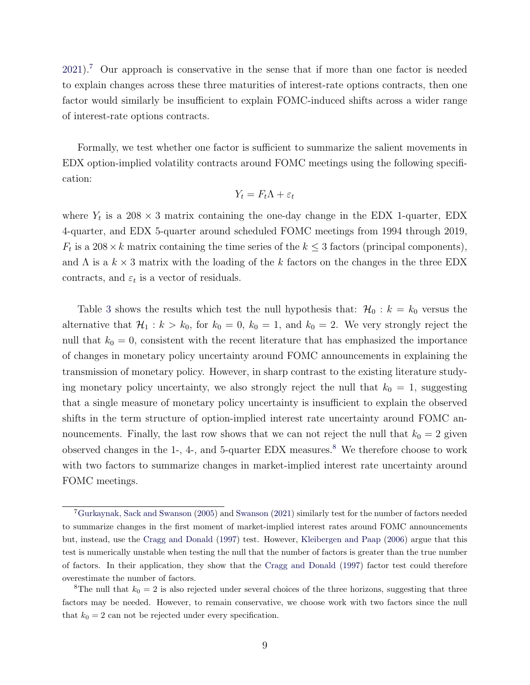$2021$ .<sup>[7](#page-9-0)</sup> Our approach is conservative in the sense that if more than one factor is needed to explain changes across these three maturities of interest-rate options contracts, then one factor would similarly be insufficient to explain FOMC-induced shifts across a wider range of interest-rate options contracts.

Formally, we test whether one factor is sufficient to summarize the salient movements in EDX option-implied volatility contracts around FOMC meetings using the following specification:

$$
Y_t = F_t \Lambda + \varepsilon_t
$$

where  $Y_t$  is a 208  $\times$  3 matrix containing the one-day change in the EDX 1-quarter, EDX 4-quarter, and EDX 5-quarter around scheduled FOMC meetings from 1994 through 2019,  $F_t$  is a 208  $\times$  k matrix containing the time series of the  $k \leq 3$  factors (principal components), and  $\Lambda$  is a  $k \times 3$  matrix with the loading of the k factors on the changes in the three EDX contracts, and  $\varepsilon_t$  is a vector of residuals.

Table [3](#page-33-0) shows the results which test the null hypothesis that:  $\mathcal{H}_0 : k = k_0$  versus the alternative that  $\mathcal{H}_1 : k > k_0$ , for  $k_0 = 0$ ,  $k_0 = 1$ , and  $k_0 = 2$ . We very strongly reject the null that  $k_0 = 0$ , consistent with the recent literature that has emphasized the importance of changes in monetary policy uncertainty around FOMC announcements in explaining the transmission of monetary policy. However, in sharp contrast to the existing literature studying monetary policy uncertainty, we also strongly reject the null that  $k_0 = 1$ , suggesting that a single measure of monetary policy uncertainty is insufficient to explain the observed shifts in the term structure of option-implied interest rate uncertainty around FOMC announcements. Finally, the last row shows that we can not reject the null that  $k_0 = 2$  given observed changes in the 1-, 4-, and 5-quarter EDX measures.<sup>[8](#page-9-1)</sup> We therefore choose to work with two factors to summarize changes in market-implied interest rate uncertainty around FOMC meetings.

<span id="page-9-0"></span><sup>7</sup>[Gurkaynak, Sack and Swanson](#page-30-3) [\(2005\)](#page-30-3) and [Swanson](#page-31-2) [\(2021\)](#page-31-2) similarly test for the number of factors needed to summarize changes in the first moment of market-implied interest rates around FOMC announcements but, instead, use the [Cragg and Donald](#page-29-6) [\(1997\)](#page-29-6) test. However, [Kleibergen and Paap](#page-30-7) [\(2006\)](#page-30-7) argue that this test is numerically unstable when testing the null that the number of factors is greater than the true number of factors. In their application, they show that the [Cragg and Donald](#page-29-6) [\(1997\)](#page-29-6) factor test could therefore overestimate the number of factors.

<span id="page-9-1"></span><sup>&</sup>lt;sup>8</sup>The null that  $k_0 = 2$  is also rejected under several choices of the three horizons, suggesting that three factors may be needed. However, to remain conservative, we choose work with two factors since the null that  $k_0 = 2$  can not be rejected under every specification.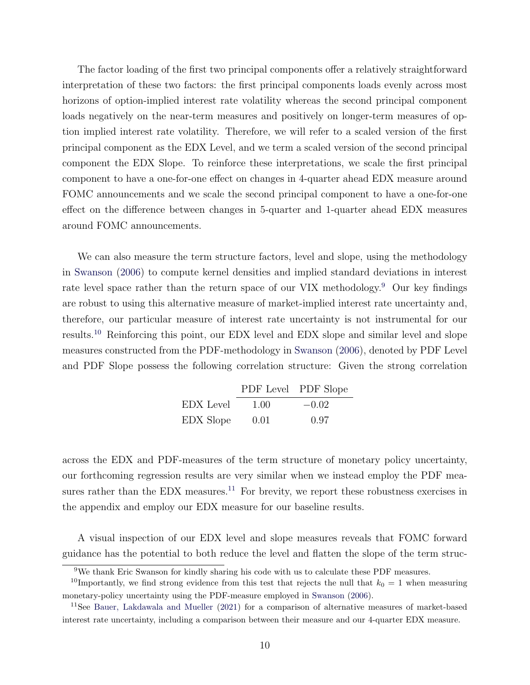The factor loading of the first two principal components offer a relatively straightforward interpretation of these two factors: the first principal components loads evenly across most horizons of option-implied interest rate volatility whereas the second principal component loads negatively on the near-term measures and positively on longer-term measures of option implied interest rate volatility. Therefore, we will refer to a scaled version of the first principal component as the EDX Level, and we term a scaled version of the second principal component the EDX Slope. To reinforce these interpretations, we scale the first principal component to have a one-for-one effect on changes in 4-quarter ahead EDX measure around FOMC announcements and we scale the second principal component to have a one-for-one effect on the difference between changes in 5-quarter and 1-quarter ahead EDX measures around FOMC announcements.

We can also measure the term structure factors, level and slope, using the methodology in [Swanson](#page-31-4) [\(2006\)](#page-31-4) to compute kernel densities and implied standard deviations in interest rate level space rather than the return space of our VIX methodology.[9](#page-10-0) Our key findings are robust to using this alternative measure of market-implied interest rate uncertainty and, therefore, our particular measure of interest rate uncertainty is not instrumental for our results.[10](#page-10-1) Reinforcing this point, our EDX level and EDX slope and similar level and slope measures constructed from the PDF-methodology in [Swanson](#page-31-4) [\(2006\)](#page-31-4), denoted by PDF Level and PDF Slope possess the following correlation structure: Given the strong correlation

|           |      | PDF Level PDF Slope |
|-----------|------|---------------------|
| EDX Level | 1.00 | $-0.02$             |
| EDX Slope | 0.01 | 0.97                |

across the EDX and PDF-measures of the term structure of monetary policy uncertainty, our forthcoming regression results are very similar when we instead employ the PDF mea-sures rather than the EDX measures.<sup>[11](#page-10-2)</sup> For brevity, we report these robustness exercises in the appendix and employ our EDX measure for our baseline results.

A visual inspection of our EDX level and slope measures reveals that FOMC forward guidance has the potential to both reduce the level and flatten the slope of the term struc-

<span id="page-10-1"></span><span id="page-10-0"></span><sup>9</sup>We thank Eric Swanson for kindly sharing his code with us to calculate these PDF measures.

<sup>&</sup>lt;sup>10</sup>Importantly, we find strong evidence from this test that rejects the null that  $k_0 = 1$  when measuring monetary-policy uncertainty using the PDF-measure employed in [Swanson](#page-31-4) [\(2006\)](#page-31-4).

<span id="page-10-2"></span><sup>11</sup>See [Bauer, Lakdawala and Mueller](#page-29-3) [\(2021\)](#page-29-3) for a comparison of alternative measures of market-based interest rate uncertainty, including a comparison between their measure and our 4-quarter EDX measure.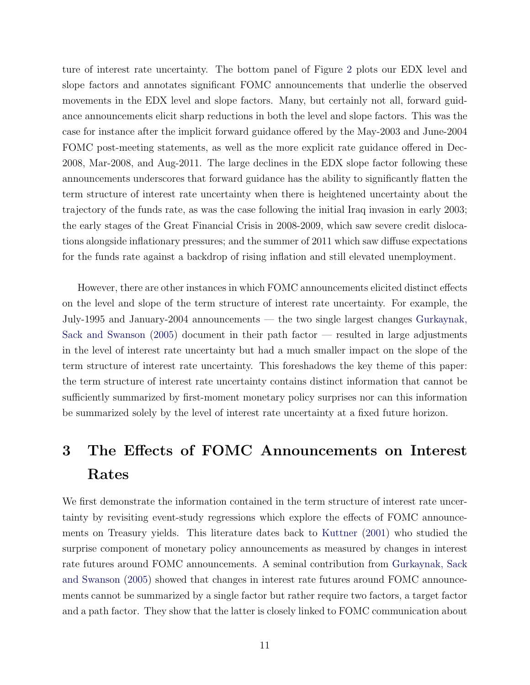ture of interest rate uncertainty. The bottom panel of Figure [2](#page-40-0) plots our EDX level and slope factors and annotates significant FOMC announcements that underlie the observed movements in the EDX level and slope factors. Many, but certainly not all, forward guidance announcements elicit sharp reductions in both the level and slope factors. This was the case for instance after the implicit forward guidance offered by the May-2003 and June-2004 FOMC post-meeting statements, as well as the more explicit rate guidance offered in Dec-2008, Mar-2008, and Aug-2011. The large declines in the EDX slope factor following these announcements underscores that forward guidance has the ability to significantly flatten the term structure of interest rate uncertainty when there is heightened uncertainty about the trajectory of the funds rate, as was the case following the initial Iraq invasion in early 2003; the early stages of the Great Financial Crisis in 2008-2009, which saw severe credit dislocations alongside inflationary pressures; and the summer of 2011 which saw diffuse expectations for the funds rate against a backdrop of rising inflation and still elevated unemployment.

However, there are other instances in which FOMC announcements elicited distinct effects on the level and slope of the term structure of interest rate uncertainty. For example, the July-1995 and January-2004 announcements — the two single largest changes [Gurkaynak,](#page-30-3) [Sack and Swanson](#page-30-3) [\(2005\)](#page-30-3) document in their path factor — resulted in large adjustments in the level of interest rate uncertainty but had a much smaller impact on the slope of the term structure of interest rate uncertainty. This foreshadows the key theme of this paper: the term structure of interest rate uncertainty contains distinct information that cannot be sufficiently summarized by first-moment monetary policy surprises nor can this information be summarized solely by the level of interest rate uncertainty at a fixed future horizon.

# <span id="page-11-0"></span>3 The Effects of FOMC Announcements on Interest Rates

We first demonstrate the information contained in the term structure of interest rate uncertainty by revisiting event-study regressions which explore the effects of FOMC announcements on Treasury yields. This literature dates back to [Kuttner](#page-30-6) [\(2001\)](#page-30-6) who studied the surprise component of monetary policy announcements as measured by changes in interest rate futures around FOMC announcements. A seminal contribution from [Gurkaynak, Sack](#page-30-3) [and Swanson](#page-30-3) [\(2005\)](#page-30-3) showed that changes in interest rate futures around FOMC announcements cannot be summarized by a single factor but rather require two factors, a target factor and a path factor. They show that the latter is closely linked to FOMC communication about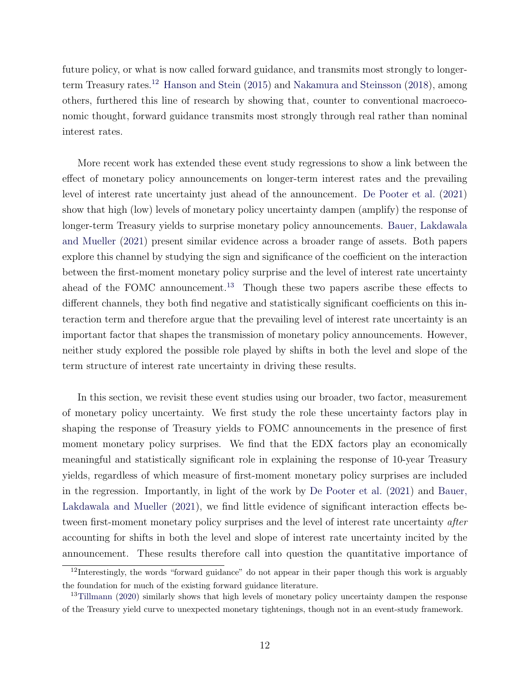future policy, or what is now called forward guidance, and transmits most strongly to longer-term Treasury rates.<sup>[12](#page-12-0)</sup> [Hanson and Stein](#page-30-2) [\(2015\)](#page-30-2) and [Nakamura and Steinsson](#page-31-1) [\(2018\)](#page-31-1), among others, furthered this line of research by showing that, counter to conventional macroeconomic thought, forward guidance transmits most strongly through real rather than nominal interest rates.

More recent work has extended these event study regressions to show a link between the effect of monetary policy announcements on longer-term interest rates and the prevailing level of interest rate uncertainty just ahead of the announcement. [De Pooter et al.](#page-29-2) [\(2021\)](#page-29-2) show that high (low) levels of monetary policy uncertainty dampen (amplify) the response of longer-term Treasury yields to surprise monetary policy announcements. [Bauer, Lakdawala](#page-29-3) [and Mueller](#page-29-3) [\(2021\)](#page-29-3) present similar evidence across a broader range of assets. Both papers explore this channel by studying the sign and significance of the coefficient on the interaction between the first-moment monetary policy surprise and the level of interest rate uncertainty ahead of the FOMC announcement.<sup>[13](#page-12-1)</sup> Though these two papers ascribe these effects to different channels, they both find negative and statistically significant coefficients on this interaction term and therefore argue that the prevailing level of interest rate uncertainty is an important factor that shapes the transmission of monetary policy announcements. However, neither study explored the possible role played by shifts in both the level and slope of the term structure of interest rate uncertainty in driving these results.

In this section, we revisit these event studies using our broader, two factor, measurement of monetary policy uncertainty. We first study the role these uncertainty factors play in shaping the response of Treasury yields to FOMC announcements in the presence of first moment monetary policy surprises. We find that the EDX factors play an economically meaningful and statistically significant role in explaining the response of 10-year Treasury yields, regardless of which measure of first-moment monetary policy surprises are included in the regression. Importantly, in light of the work by [De Pooter et al.](#page-29-2) [\(2021\)](#page-29-2) and [Bauer,](#page-29-3) [Lakdawala and Mueller](#page-29-3) [\(2021\)](#page-29-3), we find little evidence of significant interaction effects between first-moment monetary policy surprises and the level of interest rate uncertainty *after* accounting for shifts in both the level and slope of interest rate uncertainty incited by the announcement. These results therefore call into question the quantitative importance of

<span id="page-12-0"></span> $12$ Interestingly, the words "forward guidance" do not appear in their paper though this work is arguably the foundation for much of the existing forward guidance literature.

<span id="page-12-1"></span><sup>&</sup>lt;sup>13</sup>[Tillmann](#page-31-0) [\(2020\)](#page-31-0) similarly shows that high levels of monetary policy uncertainty dampen the response of the Treasury yield curve to unexpected monetary tightenings, though not in an event-study framework.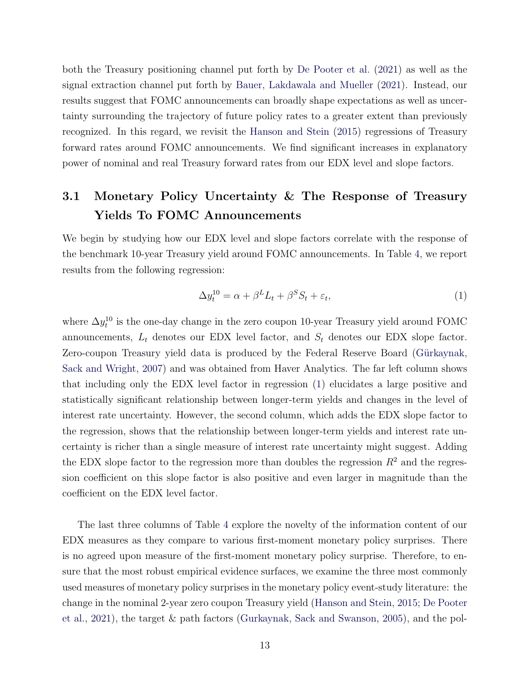both the Treasury positioning channel put forth by [De Pooter et al.](#page-29-2) [\(2021\)](#page-29-2) as well as the signal extraction channel put forth by [Bauer, Lakdawala and Mueller](#page-29-3) [\(2021\)](#page-29-3). Instead, our results suggest that FOMC announcements can broadly shape expectations as well as uncertainty surrounding the trajectory of future policy rates to a greater extent than previously recognized. In this regard, we revisit the [Hanson and Stein](#page-30-2) [\(2015\)](#page-30-2) regressions of Treasury forward rates around FOMC announcements. We find significant increases in explanatory power of nominal and real Treasury forward rates from our EDX level and slope factors.

### <span id="page-13-1"></span>3.1 Monetary Policy Uncertainty & The Response of Treasury Yields To FOMC Announcements

We begin by studying how our EDX level and slope factors correlate with the response of the benchmark 10-year Treasury yield around FOMC announcements. In Table [4,](#page-34-0) we report results from the following regression:

<span id="page-13-0"></span>
$$
\Delta y_t^{10} = \alpha + \beta^L L_t + \beta^S S_t + \varepsilon_t,\tag{1}
$$

where  $\Delta y_t^{10}$  is the one-day change in the zero coupon 10-year Treasury yield around FOMC announcements,  $L_t$  denotes our EDX level factor, and  $S_t$  denotes our EDX slope factor. Zero-coupon Treasury yield data is produced by the Federal Reserve Board (Gürkaynak, [Sack and Wright,](#page-30-9) [2007\)](#page-30-9) and was obtained from Haver Analytics. The far left column shows that including only the EDX level factor in regression [\(1\)](#page-13-0) elucidates a large positive and statistically significant relationship between longer-term yields and changes in the level of interest rate uncertainty. However, the second column, which adds the EDX slope factor to the regression, shows that the relationship between longer-term yields and interest rate uncertainty is richer than a single measure of interest rate uncertainty might suggest. Adding the EDX slope factor to the regression more than doubles the regression  $R^2$  and the regression coefficient on this slope factor is also positive and even larger in magnitude than the coefficient on the EDX level factor.

The last three columns of Table [4](#page-34-0) explore the novelty of the information content of our EDX measures as they compare to various first-moment monetary policy surprises. There is no agreed upon measure of the first-moment monetary policy surprise. Therefore, to ensure that the most robust empirical evidence surfaces, we examine the three most commonly used measures of monetary policy surprises in the monetary policy event-study literature: the change in the nominal 2-year zero coupon Treasury yield [\(Hanson and Stein,](#page-30-2) [2015;](#page-30-2) [De Pooter](#page-29-2) [et al.,](#page-29-2) [2021\)](#page-29-2), the target & path factors [\(Gurkaynak, Sack and Swanson,](#page-30-3) [2005\)](#page-30-3), and the pol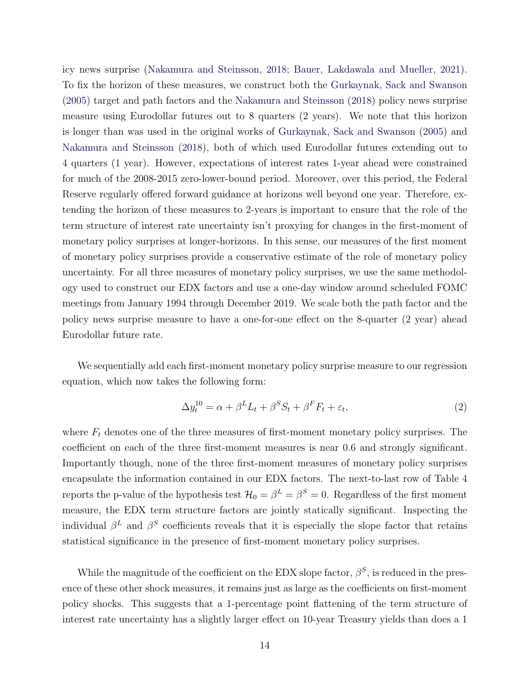icy news surprise [\(Nakamura and Steinsson,](#page-31-1) [2018;](#page-31-1) [Bauer, Lakdawala and Mueller,](#page-29-3) [2021\)](#page-29-3). To fix the horizon of these measures, we construct both the [Gurkaynak, Sack and Swanson](#page-30-3) [\(2005\)](#page-30-3) target and path factors and the [Nakamura and Steinsson](#page-31-1) [\(2018\)](#page-31-1) policy news surprise measure using Eurodollar futures out to 8 quarters (2 years). We note that this horizon is longer than was used in the original works of [Gurkaynak, Sack and Swanson](#page-30-3) [\(2005\)](#page-30-3) and [Nakamura and Steinsson](#page-31-1) [\(2018\)](#page-31-1), both of which used Eurodollar futures extending out to 4 quarters (1 year). However, expectations of interest rates 1-year ahead were constrained for much of the 2008-2015 zero-lower-bound period. Moreover, over this period, the Federal Reserve regularly offered forward guidance at horizons well beyond one year. Therefore, extending the horizon of these measures to 2-years is important to ensure that the role of the term structure of interest rate uncertainty isn't proxying for changes in the first-moment of monetary policy surprises at longer-horizons. In this sense, our measures of the first moment of monetary policy surprises provide a conservative estimate of the role of monetary policy uncertainty. For all three measures of monetary policy surprises, we use the same methodology used to construct our EDX factors and use a one-day window around scheduled FOMC meetings from January 1994 through December 2019. We scale both the path factor and the policy news surprise measure to have a one-for-one effect on the 8-quarter (2 year) ahead Eurodollar future rate.

We sequentially add each first-moment monetary policy surprise measure to our regression equation, which now takes the following form:

<span id="page-14-0"></span>
$$
\Delta y_t^{10} = \alpha + \beta^L L_t + \beta^S S_t + \beta^F F_t + \varepsilon_t,
$$
\n(2)

where  $F_t$  denotes one of the three measures of first-moment monetary policy surprises. The coefficient on each of the three first-moment measures is near 0.6 and strongly significant. Importantly though, none of the three first-moment measures of monetary policy surprises encapsulate the information contained in our EDX factors. The next-to-last row of Table [4](#page-34-0) reports the p-value of the hypothesis test  $\mathcal{H}_0 = \beta^L = \beta^S = 0$ . Regardless of the first moment measure, the EDX term structure factors are jointly statically significant. Inspecting the individual  $\beta^L$  and  $\beta^S$  coefficients reveals that it is especially the slope factor that retains statistical significance in the presence of first-moment monetary policy surprises.

While the magnitude of the coefficient on the EDX slope factor,  $\beta^S$ , is reduced in the presence of these other shock measures, it remains just as large as the coefficients on first-moment policy shocks. This suggests that a 1-percentage point flattening of the term structure of interest rate uncertainty has a slightly larger effect on 10-year Treasury yields than does a 1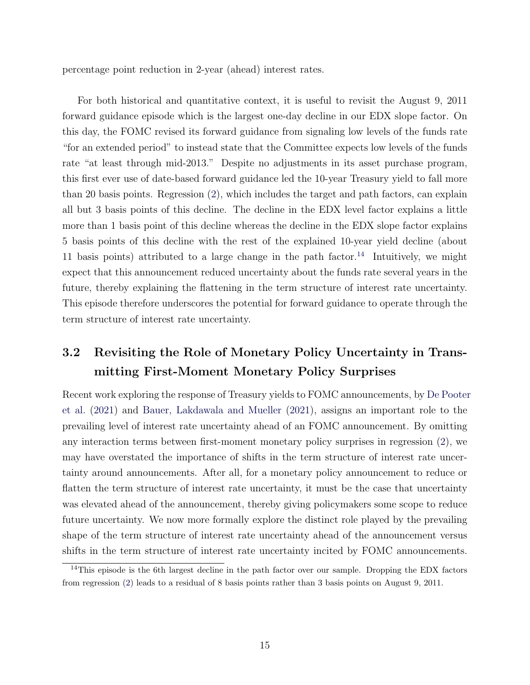percentage point reduction in 2-year (ahead) interest rates.

For both historical and quantitative context, it is useful to revisit the August 9, 2011 forward guidance episode which is the largest one-day decline in our EDX slope factor. On this day, the FOMC revised its forward guidance from signaling low levels of the funds rate "for an extended period" to instead state that the Committee expects low levels of the funds rate "at least through mid-2013." Despite no adjustments in its asset purchase program, this first ever use of date-based forward guidance led the 10-year Treasury yield to fall more than 20 basis points. Regression [\(2\)](#page-14-0), which includes the target and path factors, can explain all but 3 basis points of this decline. The decline in the EDX level factor explains a little more than 1 basis point of this decline whereas the decline in the EDX slope factor explains 5 basis points of this decline with the rest of the explained 10-year yield decline (about 11 basis points) attributed to a large change in the path factor.<sup>[14](#page-15-0)</sup> Intuitively, we might expect that this announcement reduced uncertainty about the funds rate several years in the future, thereby explaining the flattening in the term structure of interest rate uncertainty. This episode therefore underscores the potential for forward guidance to operate through the term structure of interest rate uncertainty.

### 3.2 Revisiting the Role of Monetary Policy Uncertainty in Transmitting First-Moment Monetary Policy Surprises

Recent work exploring the response of Treasury yields to FOMC announcements, by [De Pooter](#page-29-2) [et al.](#page-29-2) [\(2021\)](#page-29-2) and [Bauer, Lakdawala and Mueller](#page-29-3) [\(2021\)](#page-29-3), assigns an important role to the prevailing level of interest rate uncertainty ahead of an FOMC announcement. By omitting any interaction terms between first-moment monetary policy surprises in regression [\(2\)](#page-14-0), we may have overstated the importance of shifts in the term structure of interest rate uncertainty around announcements. After all, for a monetary policy announcement to reduce or flatten the term structure of interest rate uncertainty, it must be the case that uncertainty was elevated ahead of the announcement, thereby giving policymakers some scope to reduce future uncertainty. We now more formally explore the distinct role played by the prevailing shape of the term structure of interest rate uncertainty ahead of the announcement versus shifts in the term structure of interest rate uncertainty incited by FOMC announcements.

<span id="page-15-0"></span><sup>&</sup>lt;sup>14</sup>This episode is the 6th largest decline in the path factor over our sample. Dropping the EDX factors from regression [\(2\)](#page-14-0) leads to a residual of 8 basis points rather than 3 basis points on August 9, 2011.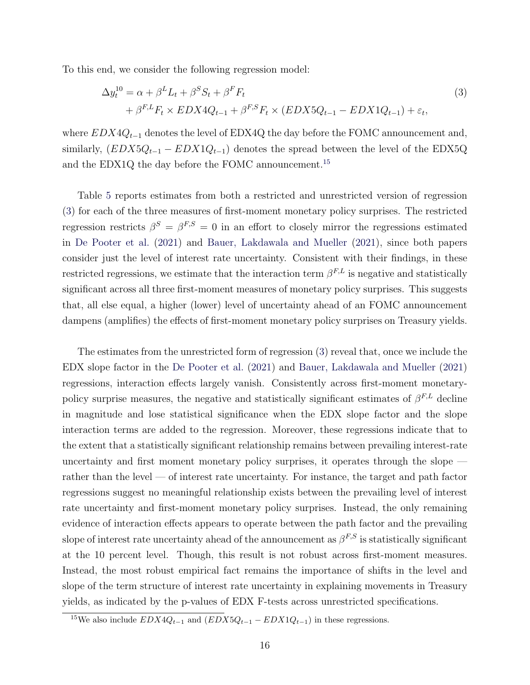To this end, we consider the following regression model:

<span id="page-16-1"></span>
$$
\Delta y_t^{10} = \alpha + \beta^L L_t + \beta^S S_t + \beta^F F_t
$$
  
+ 
$$
\beta^{F,L} F_t \times EDX4Q_{t-1} + \beta^{F,S} F_t \times (EDX5Q_{t-1} - EDX1Q_{t-1}) + \varepsilon_t,
$$
 (3)

where  $EDX4Q_{t-1}$  denotes the level of EDX4Q the day before the FOMC announcement and, similarly,  $(EDX5Q_{t-1} - EDX1Q_{t-1})$  denotes the spread between the level of the EDX5Q and the EDX1Q the day before the FOMC announcement.[15](#page-16-0)

Table [5](#page-35-0) reports estimates from both a restricted and unrestricted version of regression [\(3\)](#page-16-1) for each of the three measures of first-moment monetary policy surprises. The restricted regression restricts  $\beta^S = \beta^{F,S} = 0$  in an effort to closely mirror the regressions estimated in [De Pooter et al.](#page-29-2) [\(2021\)](#page-29-2) and [Bauer, Lakdawala and Mueller](#page-29-3) [\(2021\)](#page-29-3), since both papers consider just the level of interest rate uncertainty. Consistent with their findings, in these restricted regressions, we estimate that the interaction term  $\beta^{F,L}$  is negative and statistically significant across all three first-moment measures of monetary policy surprises. This suggests that, all else equal, a higher (lower) level of uncertainty ahead of an FOMC announcement dampens (amplifies) the effects of first-moment monetary policy surprises on Treasury yields.

The estimates from the unrestricted form of regression [\(3\)](#page-16-1) reveal that, once we include the EDX slope factor in the [De Pooter et al.](#page-29-2) [\(2021\)](#page-29-2) and [Bauer, Lakdawala and Mueller](#page-29-3) [\(2021\)](#page-29-3) regressions, interaction effects largely vanish. Consistently across first-moment monetarypolicy surprise measures, the negative and statistically significant estimates of  $\beta^{F,L}$  decline in magnitude and lose statistical significance when the EDX slope factor and the slope interaction terms are added to the regression. Moreover, these regressions indicate that to the extent that a statistically significant relationship remains between prevailing interest-rate uncertainty and first moment monetary policy surprises, it operates through the slope rather than the level — of interest rate uncertainty. For instance, the target and path factor regressions suggest no meaningful relationship exists between the prevailing level of interest rate uncertainty and first-moment monetary policy surprises. Instead, the only remaining evidence of interaction effects appears to operate between the path factor and the prevailing slope of interest rate uncertainty ahead of the announcement as  $\beta^{F,S}$  is statistically significant at the 10 percent level. Though, this result is not robust across first-moment measures. Instead, the most robust empirical fact remains the importance of shifts in the level and slope of the term structure of interest rate uncertainty in explaining movements in Treasury yields, as indicated by the p-values of EDX F-tests across unrestricted specifications.

<span id="page-16-0"></span> $^{15}{\rm{We}}$  also include  $EDX4Q_{t-1}$  and  $(EDX5Q_{t-1} - EDX1Q_{t-1})$  in these regressions.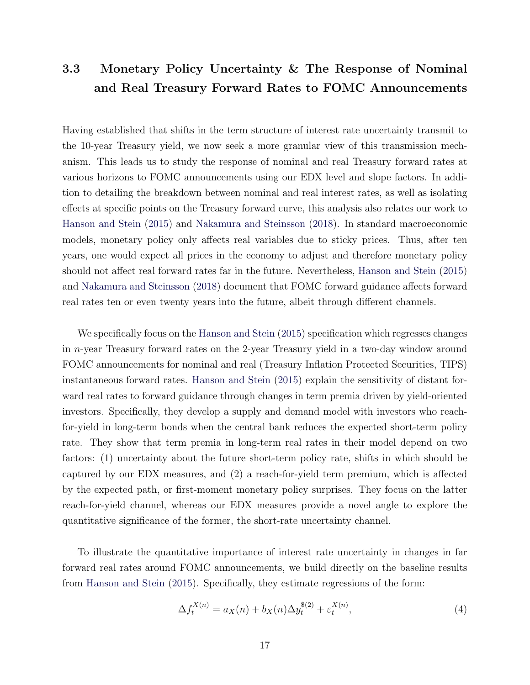### <span id="page-17-1"></span>3.3 Monetary Policy Uncertainty & The Response of Nominal and Real Treasury Forward Rates to FOMC Announcements

Having established that shifts in the term structure of interest rate uncertainty transmit to the 10-year Treasury yield, we now seek a more granular view of this transmission mechanism. This leads us to study the response of nominal and real Treasury forward rates at various horizons to FOMC announcements using our EDX level and slope factors. In addition to detailing the breakdown between nominal and real interest rates, as well as isolating effects at specific points on the Treasury forward curve, this analysis also relates our work to [Hanson and Stein](#page-30-2) [\(2015\)](#page-30-2) and [Nakamura and Steinsson](#page-31-1) [\(2018\)](#page-31-1). In standard macroeconomic models, monetary policy only affects real variables due to sticky prices. Thus, after ten years, one would expect all prices in the economy to adjust and therefore monetary policy should not affect real forward rates far in the future. Nevertheless, [Hanson and Stein](#page-30-2) [\(2015\)](#page-30-2) and [Nakamura and Steinsson](#page-31-1) [\(2018\)](#page-31-1) document that FOMC forward guidance affects forward real rates ten or even twenty years into the future, albeit through different channels.

We specifically focus on the [Hanson and Stein](#page-30-2) [\(2015\)](#page-30-2) specification which regresses changes in n-year Treasury forward rates on the 2-year Treasury yield in a two-day window around FOMC announcements for nominal and real (Treasury Inflation Protected Securities, TIPS) instantaneous forward rates. [Hanson and Stein](#page-30-2) [\(2015\)](#page-30-2) explain the sensitivity of distant forward real rates to forward guidance through changes in term premia driven by yield-oriented investors. Specifically, they develop a supply and demand model with investors who reachfor-yield in long-term bonds when the central bank reduces the expected short-term policy rate. They show that term premia in long-term real rates in their model depend on two factors: (1) uncertainty about the future short-term policy rate, shifts in which should be captured by our EDX measures, and (2) a reach-for-yield term premium, which is affected by the expected path, or first-moment monetary policy surprises. They focus on the latter reach-for-yield channel, whereas our EDX measures provide a novel angle to explore the quantitative significance of the former, the short-rate uncertainty channel.

To illustrate the quantitative importance of interest rate uncertainty in changes in far forward real rates around FOMC announcements, we build directly on the baseline results from [Hanson and Stein](#page-30-2) [\(2015\)](#page-30-2). Specifically, they estimate regressions of the form:

<span id="page-17-0"></span>
$$
\Delta f_t^{X(n)} = a_X(n) + b_X(n)\Delta y_t^{*(2)} + \varepsilon_t^{X(n)},
$$
\n(4)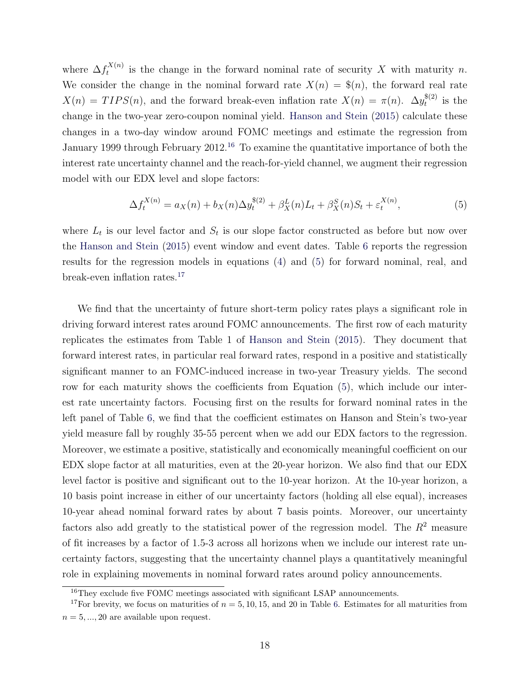where  $\Delta f_t^{X(n)}$  $t^{(X(n))}_{t}$  is the change in the forward nominal rate of security X with maturity n. We consider the change in the nominal forward rate  $X(n) = \frac{2(n)}{n}$ , the forward real rate  $X(n) = TIPS(n)$ , and the forward break-even inflation rate  $X(n) = \pi(n)$ .  $\Delta y_t^{\$(2)}$  $t^{*(2)}$  is the change in the two-year zero-coupon nominal yield. [Hanson and Stein](#page-30-2) [\(2015\)](#page-30-2) calculate these changes in a two-day window around FOMC meetings and estimate the regression from January 1999 through February 2012.<sup>[16](#page-18-0)</sup> To examine the quantitative importance of both the interest rate uncertainty channel and the reach-for-yield channel, we augment their regression model with our EDX level and slope factors:

<span id="page-18-1"></span>
$$
\Delta f_t^{X(n)} = a_X(n) + b_X(n)\Delta y_t^{\$(2)} + \beta_X^L(n)L_t + \beta_X^S(n)S_t + \varepsilon_t^{X(n)},\tag{5}
$$

where  $L_t$  is our level factor and  $S_t$  is our slope factor constructed as before but now over the [Hanson and Stein](#page-30-2) [\(2015\)](#page-30-2) event window and event dates. Table [6](#page-36-0) reports the regression results for the regression models in equations [\(4\)](#page-17-0) and [\(5\)](#page-18-1) for forward nominal, real, and break-even inflation rates.[17](#page-18-2)

We find that the uncertainty of future short-term policy rates plays a significant role in driving forward interest rates around FOMC announcements. The first row of each maturity replicates the estimates from Table 1 of [Hanson and Stein](#page-30-2) [\(2015\)](#page-30-2). They document that forward interest rates, in particular real forward rates, respond in a positive and statistically significant manner to an FOMC-induced increase in two-year Treasury yields. The second row for each maturity shows the coefficients from Equation [\(5\)](#page-18-1), which include our interest rate uncertainty factors. Focusing first on the results for forward nominal rates in the left panel of Table [6,](#page-36-0) we find that the coefficient estimates on Hanson and Stein's two-year yield measure fall by roughly 35-55 percent when we add our EDX factors to the regression. Moreover, we estimate a positive, statistically and economically meaningful coefficient on our EDX slope factor at all maturities, even at the 20-year horizon. We also find that our EDX level factor is positive and significant out to the 10-year horizon. At the 10-year horizon, a 10 basis point increase in either of our uncertainty factors (holding all else equal), increases 10-year ahead nominal forward rates by about 7 basis points. Moreover, our uncertainty factors also add greatly to the statistical power of the regression model. The  $R^2$  measure of fit increases by a factor of 1.5-3 across all horizons when we include our interest rate uncertainty factors, suggesting that the uncertainty channel plays a quantitatively meaningful role in explaining movements in nominal forward rates around policy announcements.

<span id="page-18-2"></span><span id="page-18-0"></span><sup>16</sup>They exclude five FOMC meetings associated with significant LSAP announcements.

<sup>&</sup>lt;sup>17</sup>For brevity, we focus on maturities of  $n = 5, 10, 15,$  and 20 in Table [6.](#page-36-0) Estimates for all maturities from  $n = 5, ..., 20$  are available upon request.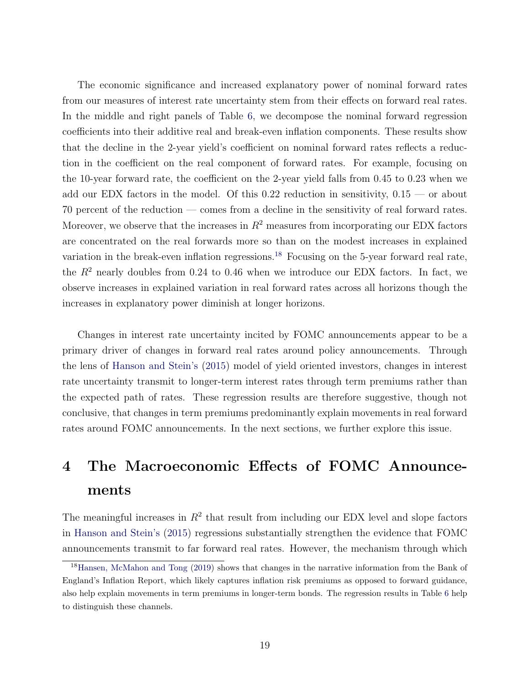The economic significance and increased explanatory power of nominal forward rates from our measures of interest rate uncertainty stem from their effects on forward real rates. In the middle and right panels of Table [6,](#page-36-0) we decompose the nominal forward regression coefficients into their additive real and break-even inflation components. These results show that the decline in the 2-year yield's coefficient on nominal forward rates reflects a reduction in the coefficient on the real component of forward rates. For example, focusing on the 10-year forward rate, the coefficient on the 2-year yield falls from 0.45 to 0.23 when we add our EDX factors in the model. Of this 0.22 reduction in sensitivity,  $0.15$  — or about 70 percent of the reduction — comes from a decline in the sensitivity of real forward rates. Moreover, we observe that the increases in  $R<sup>2</sup>$  measures from incorporating our EDX factors are concentrated on the real forwards more so than on the modest increases in explained variation in the break-even inflation regressions.<sup>[18](#page-19-1)</sup> Focusing on the 5-year forward real rate, the  $R<sup>2</sup>$  nearly doubles from 0.24 to 0.46 when we introduce our EDX factors. In fact, we observe increases in explained variation in real forward rates across all horizons though the increases in explanatory power diminish at longer horizons.

Changes in interest rate uncertainty incited by FOMC announcements appear to be a primary driver of changes in forward real rates around policy announcements. Through the lens of [Hanson and Stein's](#page-30-2) [\(2015\)](#page-30-2) model of yield oriented investors, changes in interest rate uncertainty transmit to longer-term interest rates through term premiums rather than the expected path of rates. These regression results are therefore suggestive, though not conclusive, that changes in term premiums predominantly explain movements in real forward rates around FOMC announcements. In the next sections, we further explore this issue.

# <span id="page-19-0"></span>4 The Macroeconomic Effects of FOMC Announcements

The meaningful increases in  $R<sup>2</sup>$  that result from including our EDX level and slope factors in [Hanson and Stein's](#page-30-2) [\(2015\)](#page-30-2) regressions substantially strengthen the evidence that FOMC announcements transmit to far forward real rates. However, the mechanism through which

<span id="page-19-1"></span><sup>18</sup>[Hansen, McMahon and Tong](#page-30-10) [\(2019\)](#page-30-10) shows that changes in the narrative information from the Bank of England's Inflation Report, which likely captures inflation risk premiums as opposed to forward guidance, also help explain movements in term premiums in longer-term bonds. The regression results in Table [6](#page-36-0) help to distinguish these channels.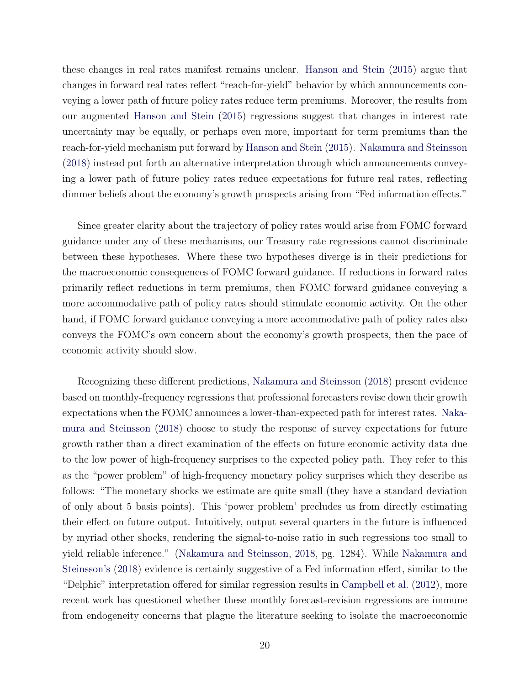these changes in real rates manifest remains unclear. [Hanson and Stein](#page-30-2) [\(2015\)](#page-30-2) argue that changes in forward real rates reflect "reach-for-yield" behavior by which announcements conveying a lower path of future policy rates reduce term premiums. Moreover, the results from our augmented [Hanson and Stein](#page-30-2) [\(2015\)](#page-30-2) regressions suggest that changes in interest rate uncertainty may be equally, or perhaps even more, important for term premiums than the reach-for-yield mechanism put forward by [Hanson and Stein](#page-30-2) [\(2015\)](#page-30-2). [Nakamura and Steinsson](#page-31-1) [\(2018\)](#page-31-1) instead put forth an alternative interpretation through which announcements conveying a lower path of future policy rates reduce expectations for future real rates, reflecting dimmer beliefs about the economy's growth prospects arising from "Fed information effects."

Since greater clarity about the trajectory of policy rates would arise from FOMC forward guidance under any of these mechanisms, our Treasury rate regressions cannot discriminate between these hypotheses. Where these two hypotheses diverge is in their predictions for the macroeconomic consequences of FOMC forward guidance. If reductions in forward rates primarily reflect reductions in term premiums, then FOMC forward guidance conveying a more accommodative path of policy rates should stimulate economic activity. On the other hand, if FOMC forward guidance conveying a more accommodative path of policy rates also conveys the FOMC's own concern about the economy's growth prospects, then the pace of economic activity should slow.

Recognizing these different predictions, [Nakamura and Steinsson](#page-31-1) [\(2018\)](#page-31-1) present evidence based on monthly-frequency regressions that professional forecasters revise down their growth expectations when the FOMC announces a lower-than-expected path for interest rates. [Naka](#page-31-1)[mura and Steinsson](#page-31-1) [\(2018\)](#page-31-1) choose to study the response of survey expectations for future growth rather than a direct examination of the effects on future economic activity data due to the low power of high-frequency surprises to the expected policy path. They refer to this as the "power problem" of high-frequency monetary policy surprises which they describe as follows: "The monetary shocks we estimate are quite small (they have a standard deviation of only about 5 basis points). This 'power problem' precludes us from directly estimating their effect on future output. Intuitively, output several quarters in the future is influenced by myriad other shocks, rendering the signal-to-noise ratio in such regressions too small to yield reliable inference." [\(Nakamura and Steinsson,](#page-31-1) [2018,](#page-31-1) pg. 1284). While [Nakamura and](#page-31-1) [Steinsson's](#page-31-1) [\(2018\)](#page-31-1) evidence is certainly suggestive of a Fed information effect, similar to the "Delphic" interpretation offered for similar regression results in [Campbell et al.](#page-29-7) [\(2012\)](#page-29-7), more recent work has questioned whether these monthly forecast-revision regressions are immune from endogeneity concerns that plague the literature seeking to isolate the macroeconomic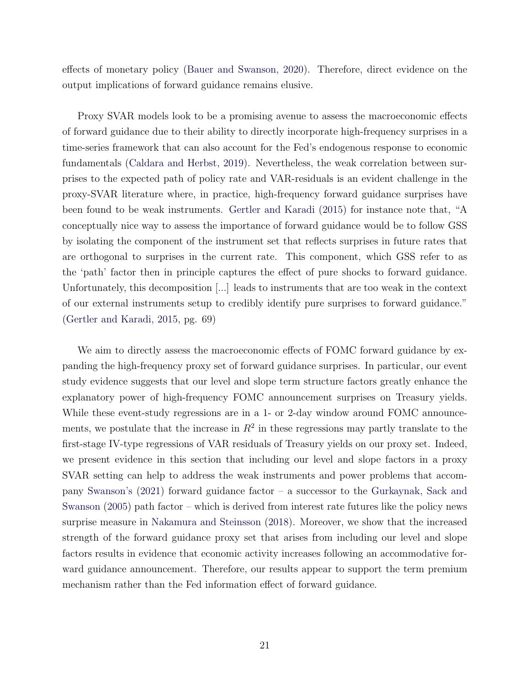effects of monetary policy [\(Bauer and Swanson,](#page-29-8) [2020\)](#page-29-8). Therefore, direct evidence on the output implications of forward guidance remains elusive.

Proxy SVAR models look to be a promising avenue to assess the macroeconomic effects of forward guidance due to their ability to directly incorporate high-frequency surprises in a time-series framework that can also account for the Fed's endogenous response to economic fundamentals [\(Caldara and Herbst,](#page-29-9) [2019\)](#page-29-9). Nevertheless, the weak correlation between surprises to the expected path of policy rate and VAR-residuals is an evident challenge in the proxy-SVAR literature where, in practice, high-frequency forward guidance surprises have been found to be weak instruments. [Gertler and Karadi](#page-29-4) [\(2015\)](#page-29-4) for instance note that, "A conceptually nice way to assess the importance of forward guidance would be to follow GSS by isolating the component of the instrument set that reflects surprises in future rates that are orthogonal to surprises in the current rate. This component, which GSS refer to as the 'path' factor then in principle captures the effect of pure shocks to forward guidance. Unfortunately, this decomposition [...] leads to instruments that are too weak in the context of our external instruments setup to credibly identify pure surprises to forward guidance." [\(Gertler and Karadi,](#page-29-4) [2015,](#page-29-4) pg. 69)

We aim to directly assess the macroeconomic effects of FOMC forward guidance by expanding the high-frequency proxy set of forward guidance surprises. In particular, our event study evidence suggests that our level and slope term structure factors greatly enhance the explanatory power of high-frequency FOMC announcement surprises on Treasury yields. While these event-study regressions are in a 1- or 2-day window around FOMC announcements, we postulate that the increase in  $R^2$  in these regressions may partly translate to the first-stage IV-type regressions of VAR residuals of Treasury yields on our proxy set. Indeed, we present evidence in this section that including our level and slope factors in a proxy SVAR setting can help to address the weak instruments and power problems that accompany [Swanson's](#page-31-2) [\(2021\)](#page-31-2) forward guidance factor – a successor to the [Gurkaynak, Sack and](#page-30-3) [Swanson](#page-30-3) [\(2005\)](#page-30-3) path factor – which is derived from interest rate futures like the policy news surprise measure in [Nakamura and Steinsson](#page-31-1) [\(2018\)](#page-31-1). Moreover, we show that the increased strength of the forward guidance proxy set that arises from including our level and slope factors results in evidence that economic activity increases following an accommodative forward guidance announcement. Therefore, our results appear to support the term premium mechanism rather than the Fed information effect of forward guidance.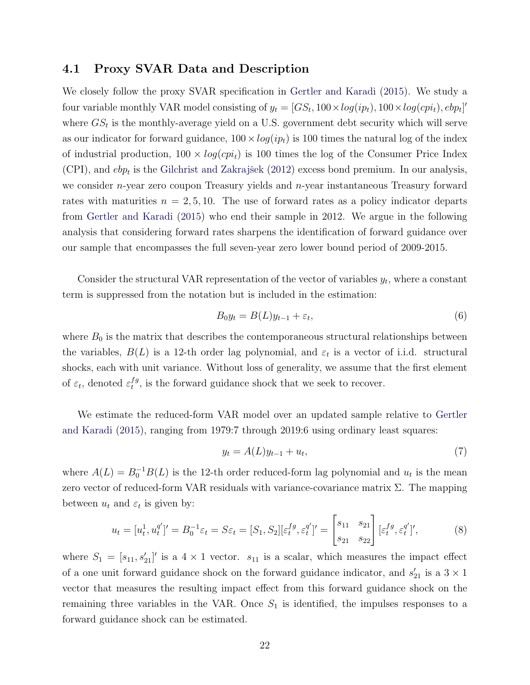#### 4.1 Proxy SVAR Data and Description

We closely follow the proxy SVAR specification in [Gertler and Karadi](#page-29-4) [\(2015\)](#page-29-4). We study a four variable monthly VAR model consisting of  $y_t = [GS_t, 100 \times log(ip_t), 100 \times log(cpi_t), ebp_t]'$ where  $GS_t$  is the monthly-average yield on a U.S. government debt security which will serve as our indicator for forward guidance,  $100 \times log(ip_t)$  is 100 times the natural log of the index of industrial production,  $100 \times log(cpi_t)$  is 100 times the log of the Consumer Price Index (CPI), and  $e_{p_t}$  is the Gilchrist and Zakrajšek [\(2012\)](#page-29-10) excess bond premium. In our analysis, we consider  $n$ -year zero coupon Treasury yields and  $n$ -year instantaneous Treasury forward rates with maturities  $n = 2, 5, 10$ . The use of forward rates as a policy indicator departs from [Gertler and Karadi](#page-29-4) [\(2015\)](#page-29-4) who end their sample in 2012. We argue in the following analysis that considering forward rates sharpens the identification of forward guidance over our sample that encompasses the full seven-year zero lower bound period of 2009-2015.

Consider the structural VAR representation of the vector of variables  $y_t$ , where a constant term is suppressed from the notation but is included in the estimation:

$$
B_0 y_t = B(L)y_{t-1} + \varepsilon_t,\tag{6}
$$

where  $B_0$  is the matrix that describes the contemporaneous structural relationships between the variables,  $B(L)$  is a 12-th order lag polynomial, and  $\varepsilon_t$  is a vector of i.i.d. structural shocks, each with unit variance. Without loss of generality, we assume that the first element of  $\varepsilon_t$ , denoted  $\varepsilon_t^{fg}$  $t^{1g}$ , is the forward guidance shock that we seek to recover.

We estimate the reduced-form VAR model over an updated sample relative to [Gertler](#page-29-4) [and Karadi](#page-29-4) [\(2015\)](#page-29-4), ranging from 1979:7 through 2019:6 using ordinary least squares:

$$
y_t = A(L)y_{t-1} + u_t,\t\t(7)
$$

where  $A(L) = B_0^{-1}B(L)$  is the 12-th order reduced-form lag polynomial and  $u_t$  is the mean zero vector of reduced-form VAR residuals with variance-covariance matrix  $\Sigma$ . The mapping between  $u_t$  and  $\varepsilon_t$  is given by:

$$
u_t = [u_t^1, u_t^{q'}] = B_0^{-1} \varepsilon_t = S \varepsilon_t = [S_1, S_2] [\varepsilon_t^{fg}, \varepsilon_t^{q'}] = \begin{bmatrix} s_{11} & s_{21} \\ s_{21} & s_{22} \end{bmatrix} [\varepsilon_t^{fg}, \varepsilon_t^{q'}]',
$$
(8)

where  $S_1 = [s_{11}, s_{21}']'$  is a 4 × 1 vector.  $s_{11}$  is a scalar, which measures the impact effect of a one unit forward guidance shock on the forward guidance indicator, and  $s'_{21}$  is a  $3 \times 1$ vector that measures the resulting impact effect from this forward guidance shock on the remaining three variables in the VAR. Once  $S_1$  is identified, the impulses responses to a forward guidance shock can be estimated.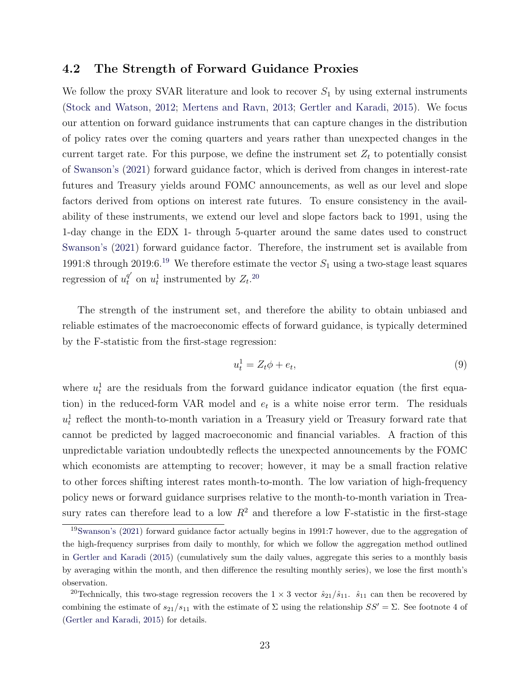#### 4.2 The Strength of Forward Guidance Proxies

We follow the proxy SVAR literature and look to recover  $S_1$  by using external instruments [\(Stock and Watson,](#page-31-5) [2012;](#page-31-5) [Mertens and Ravn,](#page-31-6) [2013;](#page-31-6) [Gertler and Karadi,](#page-29-4) [2015\)](#page-29-4). We focus our attention on forward guidance instruments that can capture changes in the distribution of policy rates over the coming quarters and years rather than unexpected changes in the current target rate. For this purpose, we define the instrument set  $Z_t$  to potentially consist of [Swanson's](#page-31-2) [\(2021\)](#page-31-2) forward guidance factor, which is derived from changes in interest-rate futures and Treasury yields around FOMC announcements, as well as our level and slope factors derived from options on interest rate futures. To ensure consistency in the availability of these instruments, we extend our level and slope factors back to 1991, using the 1-day change in the EDX 1- through 5-quarter around the same dates used to construct [Swanson's](#page-31-2) [\(2021\)](#page-31-2) forward guidance factor. Therefore, the instrument set is available from [19](#page-23-0)91:8 through 2019:6.<sup>19</sup> We therefore estimate the vector  $S_1$  using a two-stage least squares regression of  $u_t^{q'}$  on  $u_t^1$  instrumented by  $Z_t$ .<sup>[20](#page-23-1)</sup>

The strength of the instrument set, and therefore the ability to obtain unbiased and reliable estimates of the macroeconomic effects of forward guidance, is typically determined by the F-statistic from the first-stage regression:

<span id="page-23-2"></span>
$$
u_t^1 = Z_t \phi + e_t,\tag{9}
$$

where  $u_t^1$  are the residuals from the forward guidance indicator equation (the first equation) in the reduced-form VAR model and  $e_t$  is a white noise error term. The residuals  $u_t^1$  reflect the month-to-month variation in a Treasury yield or Treasury forward rate that cannot be predicted by lagged macroeconomic and financial variables. A fraction of this unpredictable variation undoubtedly reflects the unexpected announcements by the FOMC which economists are attempting to recover; however, it may be a small fraction relative to other forces shifting interest rates month-to-month. The low variation of high-frequency policy news or forward guidance surprises relative to the month-to-month variation in Treasury rates can therefore lead to a low  $R^2$  and therefore a low F-statistic in the first-stage

<span id="page-23-0"></span><sup>19</sup>[Swanson's](#page-31-2) [\(2021\)](#page-31-2) forward guidance factor actually begins in 1991:7 however, due to the aggregation of the high-frequency surprises from daily to monthly, for which we follow the aggregation method outlined in [Gertler and Karadi](#page-29-4) [\(2015\)](#page-29-4) (cumulatively sum the daily values, aggregate this series to a monthly basis by averaging within the month, and then difference the resulting monthly series), we lose the first month's observation.

<span id="page-23-1"></span><sup>&</sup>lt;sup>20</sup>Technically, this two-stage regression recovers the  $1 \times 3$  vector  $\hat{s}_{21}/\hat{s}_{11}$ .  $\hat{s}_{11}$  can then be recovered by combining the estimate of  $s_{21}/s_{11}$  with the estimate of  $\Sigma$  using the relationship  $SS' = \Sigma$ . See footnote 4 of [\(Gertler and Karadi,](#page-29-4) [2015\)](#page-29-4) for details.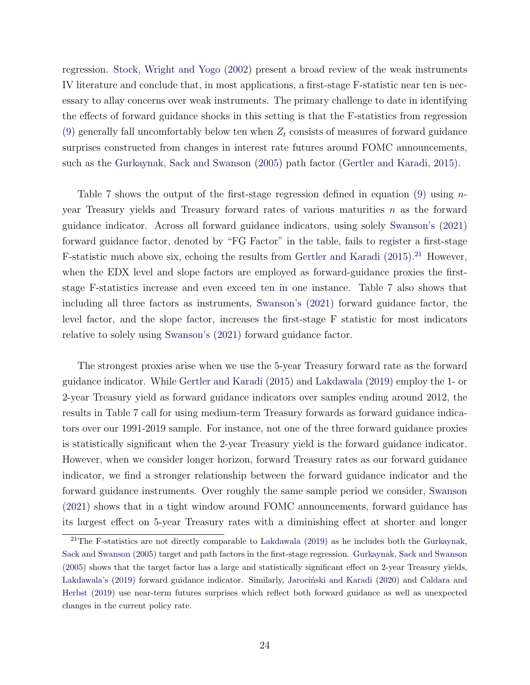regression. [Stock, Wright and Yogo](#page-31-7) [\(2002\)](#page-31-7) present a broad review of the weak instruments IV literature and conclude that, in most applications, a first-stage F-statistic near ten is necessary to allay concerns over weak instruments. The primary challenge to date in identifying the effects of forward guidance shocks in this setting is that the F-statistics from regression [\(9\)](#page-23-2) generally fall uncomfortably below ten when  $Z_t$  consists of measures of forward guidance surprises constructed from changes in interest rate futures around FOMC announcements, such as the [Gurkaynak, Sack and Swanson](#page-30-3) [\(2005\)](#page-30-3) path factor [\(Gertler and Karadi,](#page-29-4) [2015\)](#page-29-4).

Table [7](#page-37-0) shows the output of the first-stage regression defined in equation [\(9\)](#page-23-2) using  $n$ year Treasury yields and Treasury forward rates of various maturities n as the forward guidance indicator. Across all forward guidance indicators, using solely [Swanson's](#page-31-2) [\(2021\)](#page-31-2) forward guidance factor, denoted by "FG Factor" in the table, fails to register a first-stage F-statistic much above six, echoing the results from [Gertler and Karadi](#page-29-4)  $(2015)$ .<sup>[21](#page-24-0)</sup> However, when the EDX level and slope factors are employed as forward-guidance proxies the firststage F-statistics increase and even exceed ten in one instance. Table [7](#page-37-0) also shows that including all three factors as instruments, [Swanson's](#page-31-2) [\(2021\)](#page-31-2) forward guidance factor, the level factor, and the slope factor, increases the first-stage F statistic for most indicators relative to solely using [Swanson's](#page-31-2) [\(2021\)](#page-31-2) forward guidance factor.

The strongest proxies arise when we use the 5-year Treasury forward rate as the forward guidance indicator. While [Gertler and Karadi](#page-29-4) [\(2015\)](#page-29-4) and [Lakdawala](#page-30-4) [\(2019\)](#page-30-4) employ the 1- or 2-year Treasury yield as forward guidance indicators over samples ending around 2012, the results in Table [7](#page-37-0) call for using medium-term Treasury forwards as forward guidance indicators over our 1991-2019 sample. For instance, not one of the three forward guidance proxies is statistically significant when the 2-year Treasury yield is the forward guidance indicator. However, when we consider longer horizon, forward Treasury rates as our forward guidance indicator, we find a stronger relationship between the forward guidance indicator and the forward guidance instruments. Over roughly the same sample period we consider, [Swanson](#page-31-2) [\(2021\)](#page-31-2) shows that in a tight window around FOMC announcements, forward guidance has its largest effect on 5-year Treasury rates with a diminishing effect at shorter and longer

<span id="page-24-0"></span><sup>&</sup>lt;sup>21</sup>The F-statistics are not directly comparable to [Lakdawala](#page-30-4) [\(2019\)](#page-30-4) as he includes both the [Gurkaynak,](#page-30-3) [Sack and Swanson](#page-30-3) [\(2005\)](#page-30-3) target and path factors in the first-stage regression. [Gurkaynak, Sack and Swanson](#page-30-3) [\(2005\)](#page-30-3) shows that the target factor has a large and statistically significant effect on 2-year Treasury yields, [Lakdawala's](#page-30-4) [\(2019\)](#page-30-4) forward guidance indicator. Similarly, Jarociński and Karadi [\(2020\)](#page-30-11) and [Caldara and](#page-29-9) [Herbst](#page-29-9) [\(2019\)](#page-29-9) use near-term futures surprises which reflect both forward guidance as well as unexpected changes in the current policy rate.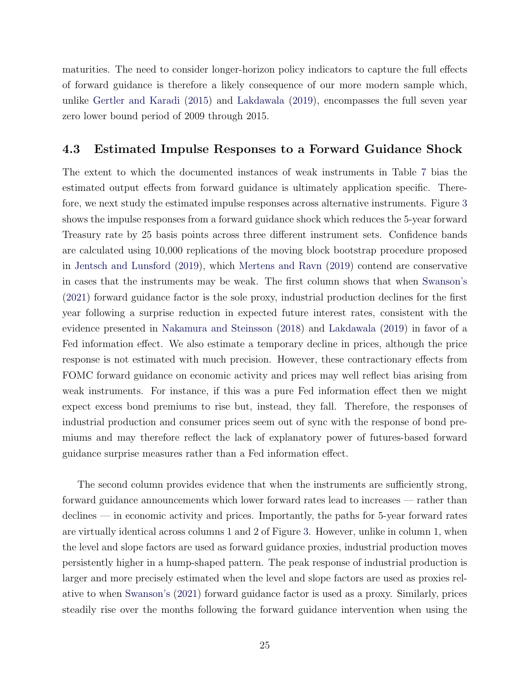maturities. The need to consider longer-horizon policy indicators to capture the full effects of forward guidance is therefore a likely consequence of our more modern sample which, unlike [Gertler and Karadi](#page-29-4) [\(2015\)](#page-29-4) and [Lakdawala](#page-30-4) [\(2019\)](#page-30-4), encompasses the full seven year zero lower bound period of 2009 through 2015.

#### 4.3 Estimated Impulse Responses to a Forward Guidance Shock

The extent to which the documented instances of weak instruments in Table [7](#page-37-0) bias the estimated output effects from forward guidance is ultimately application specific. Therefore, we next study the estimated impulse responses across alternative instruments. Figure [3](#page-41-0) shows the impulse responses from a forward guidance shock which reduces the 5-year forward Treasury rate by 25 basis points across three different instrument sets. Confidence bands are calculated using 10,000 replications of the moving block bootstrap procedure proposed in [Jentsch and Lunsford](#page-30-12) [\(2019\)](#page-30-12), which [Mertens and Ravn](#page-31-8) [\(2019\)](#page-31-8) contend are conservative in cases that the instruments may be weak. The first column shows that when [Swanson's](#page-31-2) [\(2021\)](#page-31-2) forward guidance factor is the sole proxy, industrial production declines for the first year following a surprise reduction in expected future interest rates, consistent with the evidence presented in [Nakamura and Steinsson](#page-31-1) [\(2018\)](#page-31-1) and [Lakdawala](#page-30-4) [\(2019\)](#page-30-4) in favor of a Fed information effect. We also estimate a temporary decline in prices, although the price response is not estimated with much precision. However, these contractionary effects from FOMC forward guidance on economic activity and prices may well reflect bias arising from weak instruments. For instance, if this was a pure Fed information effect then we might expect excess bond premiums to rise but, instead, they fall. Therefore, the responses of industrial production and consumer prices seem out of sync with the response of bond premiums and may therefore reflect the lack of explanatory power of futures-based forward guidance surprise measures rather than a Fed information effect.

The second column provides evidence that when the instruments are sufficiently strong, forward guidance announcements which lower forward rates lead to increases — rather than declines — in economic activity and prices. Importantly, the paths for 5-year forward rates are virtually identical across columns 1 and 2 of Figure [3.](#page-41-0) However, unlike in column 1, when the level and slope factors are used as forward guidance proxies, industrial production moves persistently higher in a hump-shaped pattern. The peak response of industrial production is larger and more precisely estimated when the level and slope factors are used as proxies relative to when [Swanson's](#page-31-2) [\(2021\)](#page-31-2) forward guidance factor is used as a proxy. Similarly, prices steadily rise over the months following the forward guidance intervention when using the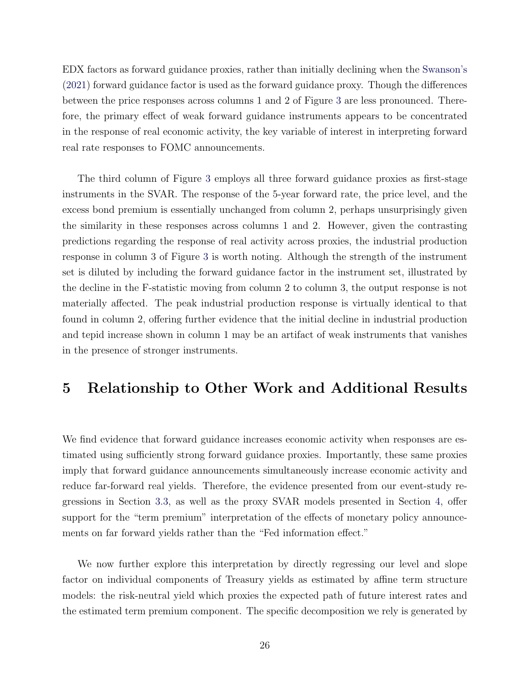EDX factors as forward guidance proxies, rather than initially declining when the [Swanson's](#page-31-2) [\(2021\)](#page-31-2) forward guidance factor is used as the forward guidance proxy. Though the differences between the price responses across columns 1 and 2 of Figure [3](#page-41-0) are less pronounced. Therefore, the primary effect of weak forward guidance instruments appears to be concentrated in the response of real economic activity, the key variable of interest in interpreting forward real rate responses to FOMC announcements.

The third column of Figure [3](#page-41-0) employs all three forward guidance proxies as first-stage instruments in the SVAR. The response of the 5-year forward rate, the price level, and the excess bond premium is essentially unchanged from column 2, perhaps unsurprisingly given the similarity in these responses across columns 1 and 2. However, given the contrasting predictions regarding the response of real activity across proxies, the industrial production response in column 3 of Figure [3](#page-41-0) is worth noting. Although the strength of the instrument set is diluted by including the forward guidance factor in the instrument set, illustrated by the decline in the F-statistic moving from column 2 to column 3, the output response is not materially affected. The peak industrial production response is virtually identical to that found in column 2, offering further evidence that the initial decline in industrial production and tepid increase shown in column 1 may be an artifact of weak instruments that vanishes in the presence of stronger instruments.

### <span id="page-26-0"></span>5 Relationship to Other Work and Additional Results

We find evidence that forward guidance increases economic activity when responses are estimated using sufficiently strong forward guidance proxies. Importantly, these same proxies imply that forward guidance announcements simultaneously increase economic activity and reduce far-forward real yields. Therefore, the evidence presented from our event-study regressions in Section [3.3,](#page-17-1) as well as the proxy SVAR models presented in Section [4,](#page-19-0) offer support for the "term premium" interpretation of the effects of monetary policy announcements on far forward yields rather than the "Fed information effect."

We now further explore this interpretation by directly regressing our level and slope factor on individual components of Treasury yields as estimated by affine term structure models: the risk-neutral yield which proxies the expected path of future interest rates and the estimated term premium component. The specific decomposition we rely is generated by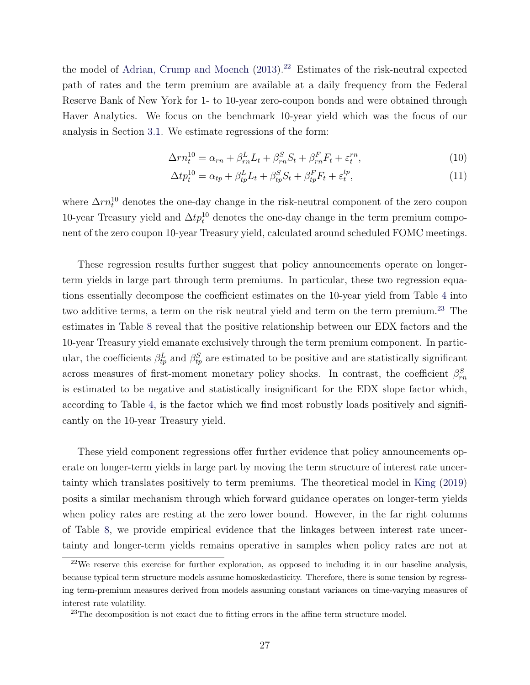the model of [Adrian, Crump and Moench](#page-29-11)  $(2013).^{22}$  $(2013).^{22}$  $(2013).^{22}$  $(2013).^{22}$  Estimates of the risk-neutral expected path of rates and the term premium are available at a daily frequency from the Federal Reserve Bank of New York for 1- to 10-year zero-coupon bonds and were obtained through Haver Analytics. We focus on the benchmark 10-year yield which was the focus of our analysis in Section [3.1.](#page-13-1) We estimate regressions of the form:

<span id="page-27-2"></span>
$$
\Delta rn_t^{10} = \alpha_{rn} + \beta_{rn}^L L_t + \beta_{rn}^S S_t + \beta_{rn}^F F_t + \varepsilon_t^{rn},\tag{10}
$$

$$
\Delta t p_t^{10} = \alpha_{tp} + \beta_{tp}^L L_t + \beta_{tp}^S S_t + \beta_{tp}^F F_t + \varepsilon_t^{tp},\tag{11}
$$

where  $\Delta r n_t^{10}$  denotes the one-day change in the risk-neutral component of the zero coupon 10-year Treasury yield and  $\Delta tp_t^{10}$  denotes the one-day change in the term premium component of the zero coupon 10-year Treasury yield, calculated around scheduled FOMC meetings.

These regression results further suggest that policy announcements operate on longerterm yields in large part through term premiums. In particular, these two regression equations essentially decompose the coefficient estimates on the 10-year yield from Table [4](#page-34-0) into two additive terms, a term on the risk neutral yield and term on the term premium.<sup>[23](#page-27-1)</sup> The estimates in Table [8](#page-38-0) reveal that the positive relationship between our EDX factors and the 10-year Treasury yield emanate exclusively through the term premium component. In particular, the coefficients  $\beta_{tp}^L$  and  $\beta_{tp}^S$  are estimated to be positive and are statistically significant across measures of first-moment monetary policy shocks. In contrast, the coefficient  $\beta_{rn}^S$ is estimated to be negative and statistically insignificant for the EDX slope factor which, according to Table [4,](#page-34-0) is the factor which we find most robustly loads positively and significantly on the 10-year Treasury yield.

These yield component regressions offer further evidence that policy announcements operate on longer-term yields in large part by moving the term structure of interest rate uncertainty which translates positively to term premiums. The theoretical model in [King](#page-30-5) [\(2019\)](#page-30-5) posits a similar mechanism through which forward guidance operates on longer-term yields when policy rates are resting at the zero lower bound. However, in the far right columns of Table [8,](#page-38-0) we provide empirical evidence that the linkages between interest rate uncertainty and longer-term yields remains operative in samples when policy rates are not at

<span id="page-27-0"></span><sup>22</sup>We reserve this exercise for further exploration, as opposed to including it in our baseline analysis, because typical term structure models assume homoskedasticity. Therefore, there is some tension by regressing term-premium measures derived from models assuming constant variances on time-varying measures of interest rate volatility.

<span id="page-27-1"></span><sup>&</sup>lt;sup>23</sup>The decomposition is not exact due to fitting errors in the affine term structure model.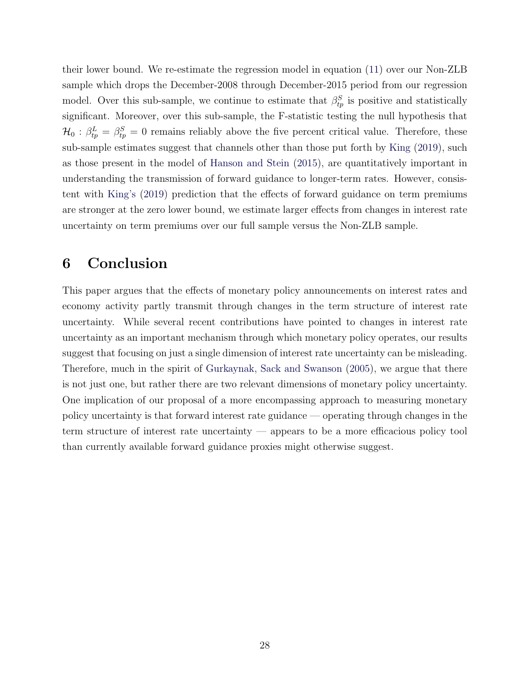their lower bound. We re-estimate the regression model in equation [\(11\)](#page-27-2) over our Non-ZLB sample which drops the December-2008 through December-2015 period from our regression model. Over this sub-sample, we continue to estimate that  $\beta_{tp}^S$  is positive and statistically significant. Moreover, over this sub-sample, the F-statistic testing the null hypothesis that  $\mathcal{H}_0: \beta_{tp}^L = \beta_{tp}^S = 0$  remains reliably above the five percent critical value. Therefore, these sub-sample estimates suggest that channels other than those put forth by [King](#page-30-5) [\(2019\)](#page-30-5), such as those present in the model of [Hanson and Stein](#page-30-2) [\(2015\)](#page-30-2), are quantitatively important in understanding the transmission of forward guidance to longer-term rates. However, consistent with [King's](#page-30-5) [\(2019\)](#page-30-5) prediction that the effects of forward guidance on term premiums are stronger at the zero lower bound, we estimate larger effects from changes in interest rate uncertainty on term premiums over our full sample versus the Non-ZLB sample.

### <span id="page-28-0"></span>6 Conclusion

This paper argues that the effects of monetary policy announcements on interest rates and economy activity partly transmit through changes in the term structure of interest rate uncertainty. While several recent contributions have pointed to changes in interest rate uncertainty as an important mechanism through which monetary policy operates, our results suggest that focusing on just a single dimension of interest rate uncertainty can be misleading. Therefore, much in the spirit of [Gurkaynak, Sack and Swanson](#page-30-3) [\(2005\)](#page-30-3), we argue that there is not just one, but rather there are two relevant dimensions of monetary policy uncertainty. One implication of our proposal of a more encompassing approach to measuring monetary policy uncertainty is that forward interest rate guidance — operating through changes in the term structure of interest rate uncertainty — appears to be a more efficacious policy tool than currently available forward guidance proxies might otherwise suggest.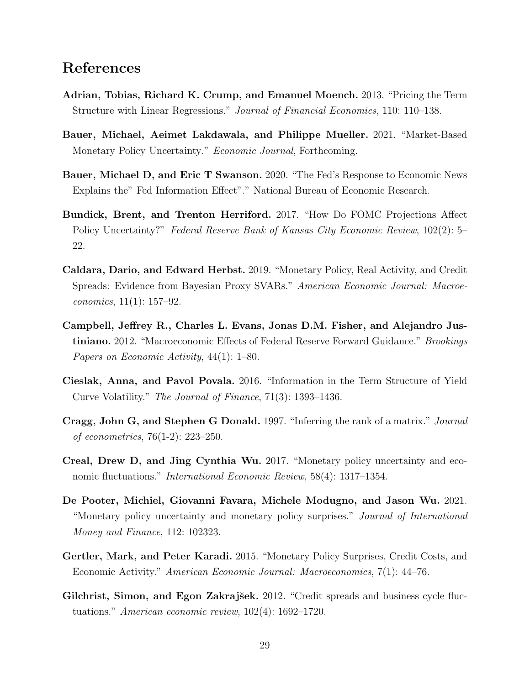#### References

- <span id="page-29-11"></span>Adrian, Tobias, Richard K. Crump, and Emanuel Moench. 2013. "Pricing the Term Structure with Linear Regressions." Journal of Financial Economics, 110: 110–138.
- <span id="page-29-3"></span>Bauer, Michael, Aeimet Lakdawala, and Philippe Mueller. 2021. "Market-Based Monetary Policy Uncertainty." Economic Journal, Forthcoming.
- <span id="page-29-8"></span>Bauer, Michael D, and Eric T Swanson. 2020. "The Fed's Response to Economic News Explains the" Fed Information Effect"." National Bureau of Economic Research.
- <span id="page-29-5"></span>Bundick, Brent, and Trenton Herriford. 2017. "How Do FOMC Projections Affect Policy Uncertainty?" Federal Reserve Bank of Kansas City Economic Review, 102(2): 5– 22.
- <span id="page-29-9"></span>Caldara, Dario, and Edward Herbst. 2019. "Monetary Policy, Real Activity, and Credit Spreads: Evidence from Bayesian Proxy SVARs." American Economic Journal: Macroeconomics, 11(1): 157–92.
- <span id="page-29-7"></span>Campbell, Jeffrey R., Charles L. Evans, Jonas D.M. Fisher, and Alejandro Justiniano. 2012. "Macroeconomic Effects of Federal Reserve Forward Guidance." Brookings Papers on Economic Activity, 44(1): 1–80.
- <span id="page-29-0"></span>Cieslak, Anna, and Pavol Povala. 2016. "Information in the Term Structure of Yield Curve Volatility." The Journal of Finance, 71(3): 1393–1436.
- <span id="page-29-6"></span>Cragg, John G, and Stephen G Donald. 1997. "Inferring the rank of a matrix." Journal of econometrics, 76(1-2): 223–250.
- <span id="page-29-1"></span>Creal, Drew D, and Jing Cynthia Wu. 2017. "Monetary policy uncertainty and economic fluctuations." International Economic Review, 58(4): 1317–1354.
- <span id="page-29-2"></span>De Pooter, Michiel, Giovanni Favara, Michele Modugno, and Jason Wu. 2021. "Monetary policy uncertainty and monetary policy surprises." Journal of International Money and Finance, 112: 102323.
- <span id="page-29-4"></span>Gertler, Mark, and Peter Karadi. 2015. "Monetary Policy Surprises, Credit Costs, and Economic Activity." American Economic Journal: Macroeconomics, 7(1): 44–76.
- <span id="page-29-10"></span>Gilchrist, Simon, and Egon Zakrajšek. 2012. "Credit spreads and business cycle fluctuations." American economic review, 102(4): 1692–1720.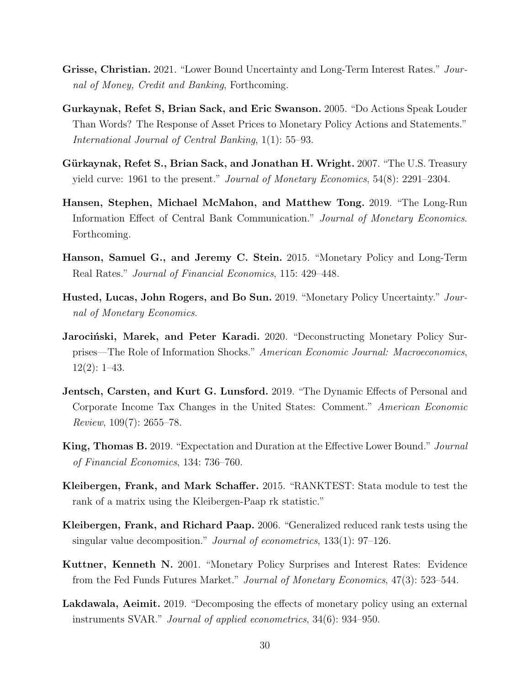- <span id="page-30-13"></span><span id="page-30-1"></span>Grisse, Christian. 2021. "Lower Bound Uncertainty and Long-Term Interest Rates." Journal of Money, Credit and Banking, Forthcoming.
- <span id="page-30-3"></span>Gurkaynak, Refet S, Brian Sack, and Eric Swanson. 2005. "Do Actions Speak Louder Than Words? The Response of Asset Prices to Monetary Policy Actions and Statements." International Journal of Central Banking, 1(1): 55–93.
- <span id="page-30-9"></span>Gürkaynak, Refet S., Brian Sack, and Jonathan H. Wright. 2007. "The U.S. Treasury yield curve: 1961 to the present." Journal of Monetary Economics, 54(8): 2291–2304.
- <span id="page-30-10"></span>Hansen, Stephen, Michael McMahon, and Matthew Tong. 2019. "The Long-Run Information Effect of Central Bank Communication." Journal of Monetary Economics. Forthcoming.
- <span id="page-30-2"></span>Hanson, Samuel G., and Jeremy C. Stein. 2015. "Monetary Policy and Long-Term Real Rates." Journal of Financial Economics, 115: 429–448.
- <span id="page-30-0"></span>Husted, Lucas, John Rogers, and Bo Sun. 2019. "Monetary Policy Uncertainty." Journal of Monetary Economics.
- <span id="page-30-11"></span>Jarocinski, Marek, and Peter Karadi. 2020. "Deconstructing Monetary Policy Surprises—The Role of Information Shocks." American Economic Journal: Macroeconomics, 12(2): 1–43.
- <span id="page-30-12"></span>**Jentsch, Carsten, and Kurt G. Lunsford.** 2019. "The Dynamic Effects of Personal and Corporate Income Tax Changes in the United States: Comment." American Economic Review,  $109(7)$ : 2655–78.
- <span id="page-30-5"></span>King, Thomas B. 2019. "Expectation and Duration at the Effective Lower Bound." Journal of Financial Economics, 134: 736–760.
- <span id="page-30-8"></span>Kleibergen, Frank, and Mark Schaffer. 2015. "RANKTEST: Stata module to test the rank of a matrix using the Kleibergen-Paap rk statistic."
- <span id="page-30-7"></span>Kleibergen, Frank, and Richard Paap. 2006. "Generalized reduced rank tests using the singular value decomposition." Journal of econometrics, 133(1): 97–126.
- <span id="page-30-6"></span>Kuttner, Kenneth N. 2001. "Monetary Policy Surprises and Interest Rates: Evidence from the Fed Funds Futures Market." Journal of Monetary Economics, 47(3): 523–544.
- <span id="page-30-4"></span>Lakdawala, Aeimit. 2019. "Decomposing the effects of monetary policy using an external instruments SVAR." Journal of applied econometrics, 34(6): 934–950.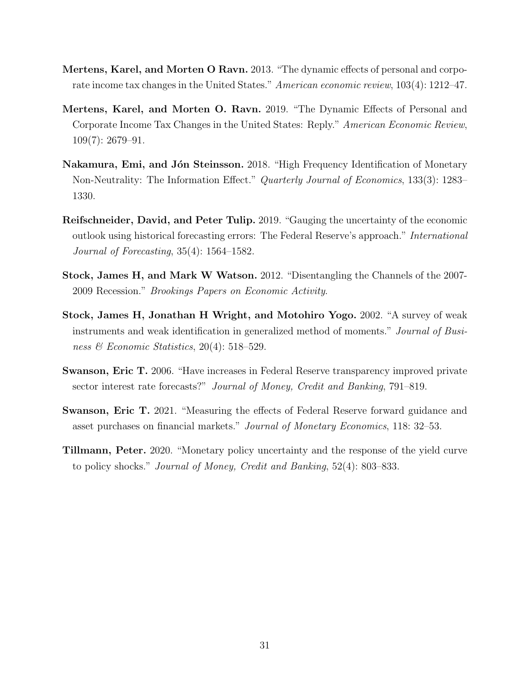- <span id="page-31-6"></span>Mertens, Karel, and Morten O Ravn. 2013. "The dynamic effects of personal and corporate income tax changes in the United States." American economic review, 103(4): 1212–47.
- <span id="page-31-8"></span>Mertens, Karel, and Morten O. Ravn. 2019. "The Dynamic Effects of Personal and Corporate Income Tax Changes in the United States: Reply." American Economic Review, 109(7): 2679–91.
- <span id="page-31-1"></span>Nakamura, Emi, and Jón Steinsson. 2018. "High Frequency Identification of Monetary Non-Neutrality: The Information Effect." Quarterly Journal of Economics, 133(3): 1283– 1330.
- <span id="page-31-3"></span>Reifschneider, David, and Peter Tulip. 2019. "Gauging the uncertainty of the economic outlook using historical forecasting errors: The Federal Reserve's approach." International Journal of Forecasting, 35(4): 1564–1582.
- <span id="page-31-5"></span>Stock, James H, and Mark W Watson. 2012. "Disentangling the Channels of the 2007- 2009 Recession." Brookings Papers on Economic Activity.
- <span id="page-31-7"></span>Stock, James H, Jonathan H Wright, and Motohiro Yogo. 2002. "A survey of weak instruments and weak identification in generalized method of moments." Journal of Business & Economic Statistics, 20(4): 518–529.
- <span id="page-31-4"></span>Swanson, Eric T. 2006. "Have increases in Federal Reserve transparency improved private sector interest rate forecasts?" Journal of Money, Credit and Banking, 791–819.
- <span id="page-31-2"></span>Swanson, Eric T. 2021. "Measuring the effects of Federal Reserve forward guidance and asset purchases on financial markets." Journal of Monetary Economics, 118: 32–53.
- <span id="page-31-0"></span>Tillmann, Peter. 2020. "Monetary policy uncertainty and the response of the yield curve to policy shocks." Journal of Money, Credit and Banking, 52(4): 803–833.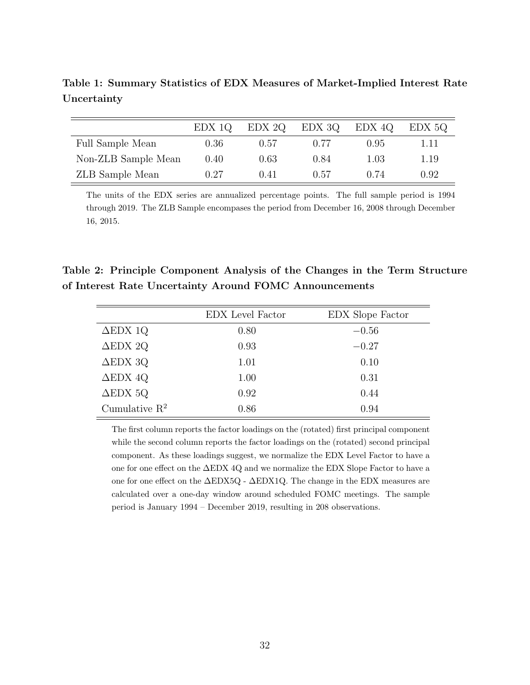<span id="page-32-0"></span>Table 1: Summary Statistics of EDX Measures of Market-Implied Interest Rate Uncertainty

|                     | EDX 10 | EDX 2Q | EDX 3Q | EDX 4Q | EDX 5Q |
|---------------------|--------|--------|--------|--------|--------|
| Full Sample Mean    | 0.36   | 0.57   | 0.77   | 0.95   | 1.11   |
| Non-ZLB Sample Mean | 0.40   | 0.63   | 0.84   | 1.03   | 1.19   |
| ZLB Sample Mean     | 0.27   | 0.41   | 0.57   | 0.74   | 0.92   |

The units of the EDX series are annualized percentage points. The full sample period is 1994 through 2019. The ZLB Sample encompases the period from December 16, 2008 through December 16, 2015.

Table 2: Principle Component Analysis of the Changes in the Term Structure of Interest Rate Uncertainty Around FOMC Announcements

<span id="page-32-1"></span>

|                    | EDX Level Factor | EDX Slope Factor |
|--------------------|------------------|------------------|
| $\Delta$ EDX 1Q    | 0.80             | $-0.56$          |
| $\triangle$ EDX 2Q | 0.93             | $-0.27$          |
| $\triangle$ EDX 3Q | 1.01             | 0.10             |
| $\Delta$ EDX 4Q    | 1.00             | 0.31             |
| $\triangle$ EDX 5Q | 0.92             | 0.44             |
| Cumulative $R^2$   | 0.86             | 0.94             |

The first column reports the factor loadings on the (rotated) first principal component while the second column reports the factor loadings on the (rotated) second principal component. As these loadings suggest, we normalize the EDX Level Factor to have a one for one effect on the ∆EDX 4Q and we normalize the EDX Slope Factor to have a one for one effect on the ∆EDX5Q - ∆EDX1Q. The change in the EDX measures are calculated over a one-day window around scheduled FOMC meetings. The sample period is January 1994 – December 2019, resulting in 208 observations.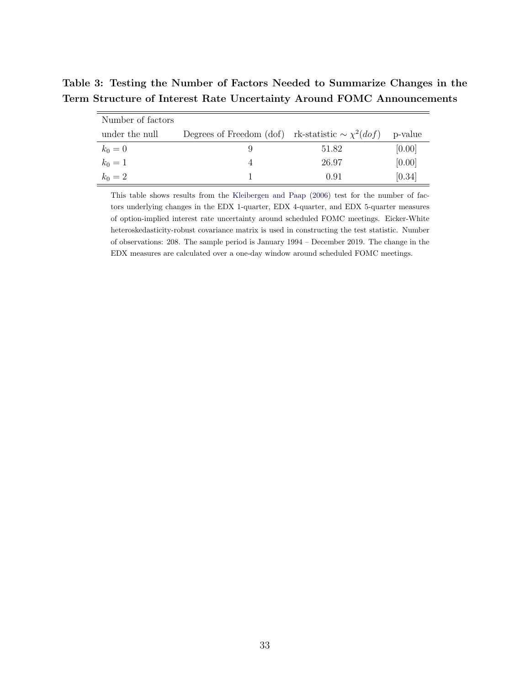Table 3: Testing the Number of Factors Needed to Summarize Changes in the Term Structure of Interest Rate Uncertainty Around FOMC Announcements

<span id="page-33-0"></span>

| Number of factors |                                                                  |       |        |
|-------------------|------------------------------------------------------------------|-------|--------|
| under the null    | Degrees of Freedom (dof) rk-statistic $\sim \chi^2(dof)$ p-value |       |        |
| $k_0 = 0$         |                                                                  | 51.82 | [0.00] |
| $k_0 = 1$         | 4                                                                | 26.97 | [0.00] |
| $k_0 = 2$         |                                                                  | 0.91  | [0.34] |

This table shows results from the [Kleibergen and Paap](#page-30-7) [\(2006\)](#page-30-7) test for the number of factors underlying changes in the EDX 1-quarter, EDX 4-quarter, and EDX 5-quarter measures of option-implied interest rate uncertainty around scheduled FOMC meetings. Eicker-White heteroskedasticity-robust covariance matrix is used in constructing the test statistic. Number of observations: 208. The sample period is January 1994 – December 2019. The change in the EDX measures are calculated over a one-day window around scheduled FOMC meetings.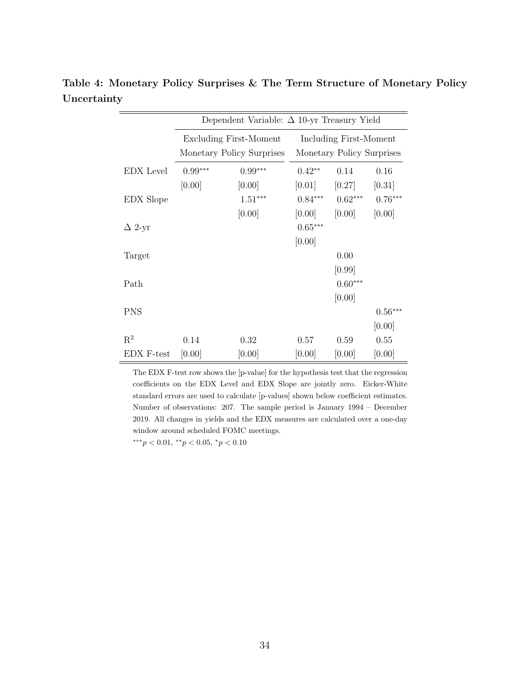<span id="page-34-0"></span>

|                | Dependent Variable: $\Delta$ 10-yr Treasury Yield |                                                            |                                                     |                     |                     |  |  |  |
|----------------|---------------------------------------------------|------------------------------------------------------------|-----------------------------------------------------|---------------------|---------------------|--|--|--|
|                |                                                   | <b>Excluding First-Moment</b><br>Monetary Policy Surprises | Including First-Moment<br>Monetary Policy Surprises |                     |                     |  |  |  |
| EDX Level      | $0.99***$<br>[0.00]                               | $0.99***$<br>[0.00]                                        | $0.42**$<br>[0.01]                                  | 0.14<br>[0.27]      | 0.16<br>[0.31]      |  |  |  |
| EDX Slope      |                                                   | $1.51***$                                                  | $0.84***$                                           | $0.62***$           | $0.76***$           |  |  |  |
| $\Delta$ 2-yr  |                                                   | [0.00]                                                     | [0.00]<br>$0.65***$<br>[0.00]                       | [0.00]              | [0.00]              |  |  |  |
| Target         |                                                   |                                                            |                                                     | 0.00<br>[0.99]      |                     |  |  |  |
| Path           |                                                   |                                                            |                                                     | $0.60***$<br>[0.00] |                     |  |  |  |
| <b>PNS</b>     |                                                   |                                                            |                                                     |                     | $0.56***$<br>[0.00] |  |  |  |
| $\mathrm{R}^2$ | 0.14                                              | 0.32                                                       | 0.57                                                | 0.59                | 0.55                |  |  |  |
| EDX F-test     | [0.00]                                            | [0.00]                                                     | [0.00]                                              | [0.00]              | [0.00]              |  |  |  |

Table 4: Monetary Policy Surprises & The Term Structure of Monetary Policy Uncertainty

The EDX F-test row shows the [p-value] for the hypothesis test that the regression coefficients on the EDX Level and EDX Slope are jointly zero. Eicker-White standard errors are used to calculate [p-values] shown below coefficient estimates. Number of observations: 207. The sample period is January 1994 – December 2019. All changes in yields and the EDX measures are calculated over a one-day window around scheduled FOMC meetings.

 $***p<0.01,$   $**p<0.05,$   $*p<0.10$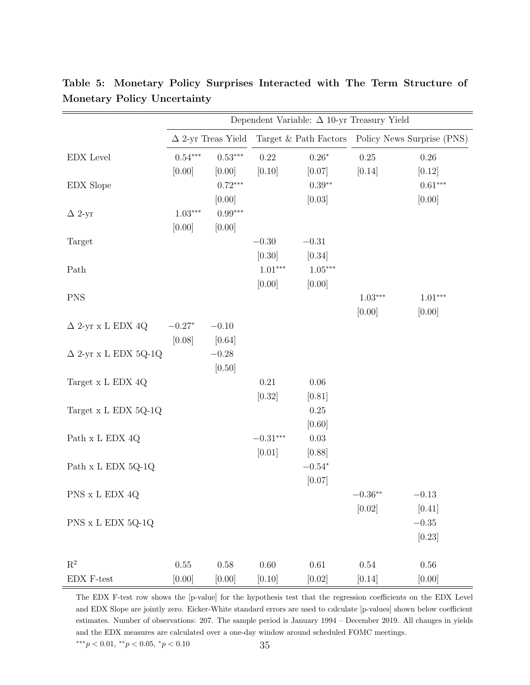|                               | Dependent Variable: $\Delta$ 10-yr Treasury Yield |                           |            |           |           |                                                  |  |  |  |
|-------------------------------|---------------------------------------------------|---------------------------|------------|-----------|-----------|--------------------------------------------------|--|--|--|
|                               |                                                   | $\Delta$ 2-yr Treas Yield |            |           |           | Target & Path Factors Policy News Surprise (PNS) |  |  |  |
| EDX Level                     | $0.54***$                                         | $0.53***$                 | 0.22       | $0.26*$   | 0.25      | $0.26\,$                                         |  |  |  |
|                               | [0.00]                                            | [0.00]                    | [0.10]     | [0.07]    | [0.14]    | [0.12]                                           |  |  |  |
| <b>EDX</b> Slope              |                                                   | $0.72***$                 |            | $0.39**$  |           | $0.61***$                                        |  |  |  |
|                               |                                                   | [0.00]                    |            | [0.03]    |           | [0.00]                                           |  |  |  |
| $\Delta$ 2-yr                 | $1.03***$                                         | $0.99***$                 |            |           |           |                                                  |  |  |  |
|                               | [0.00]                                            | [0.00]                    |            |           |           |                                                  |  |  |  |
| Target                        |                                                   |                           | $-0.30$    | $-0.31$   |           |                                                  |  |  |  |
|                               |                                                   |                           | [0.30]     | [0.34]    |           |                                                  |  |  |  |
| Path                          |                                                   |                           | $1.01***$  | $1.05***$ |           |                                                  |  |  |  |
|                               |                                                   |                           | [0.00]     | [0.00]    |           |                                                  |  |  |  |
| <b>PNS</b>                    |                                                   |                           |            |           | $1.03***$ | $1.01***$                                        |  |  |  |
|                               |                                                   |                           |            |           | [0.00]    | [0.00]                                           |  |  |  |
| $\Delta$ 2-yr x L EDX 4Q      | $-0.27*$                                          | $-0.10$                   |            |           |           |                                                  |  |  |  |
|                               | [0.08]                                            | $[0.64]$                  |            |           |           |                                                  |  |  |  |
| $\Delta$ 2-yr x L EDX 5Q-1Q   |                                                   | $-0.28$                   |            |           |           |                                                  |  |  |  |
|                               |                                                   | [0.50]                    |            |           |           |                                                  |  |  |  |
| Target x L EDX 4Q             |                                                   |                           | 0.21       | $0.06\,$  |           |                                                  |  |  |  |
|                               |                                                   |                           | [0.32]     | [0.81]    |           |                                                  |  |  |  |
| Target x L EDX 5Q-1Q          |                                                   |                           |            | 0.25      |           |                                                  |  |  |  |
|                               |                                                   |                           |            | [0.60]    |           |                                                  |  |  |  |
| Path x L EDX 4Q               |                                                   |                           | $-0.31***$ | 0.03      |           |                                                  |  |  |  |
|                               |                                                   |                           | [0.01]     | [0.88]    |           |                                                  |  |  |  |
| Path x L EDX 5Q-1Q            |                                                   |                           |            | $-0.54*$  |           |                                                  |  |  |  |
|                               |                                                   |                           |            | [0.07]    |           |                                                  |  |  |  |
| PNS x L EDX 4Q                |                                                   |                           |            |           | $-0.36**$ | $-0.13$                                          |  |  |  |
|                               |                                                   |                           |            |           | [0.02]    | [0.41]                                           |  |  |  |
| PNS x L EDX 5Q-1Q             |                                                   |                           |            |           |           | $-0.35\,$                                        |  |  |  |
|                               |                                                   |                           |            |           |           | $[0.23]$                                         |  |  |  |
| $\mathbf{R}^2$                | $0.55\,$                                          | $0.58\,$                  | $0.60\,$   | $0.61\,$  | $0.54\,$  | $0.56\,$                                         |  |  |  |
| $EDX$ $\operatorname{F-test}$ | [0.00]                                            | [0.00]                    | [0.10]     | $[0.02]$  | [0.14]    | [0.00]                                           |  |  |  |

<span id="page-35-0"></span>Table 5: Monetary Policy Surprises Interacted with The Term Structure of Monetary Policy Uncertainty

The EDX F-test row shows the [p-value] for the hypothesis test that the regression coefficients on the EDX Level and EDX Slope are jointly zero. Eicker-White standard errors are used to calculate [p-values] shown below coefficient estimates. Number of observations: 207. The sample period is January 1994 – December 2019. All changes in yields and the EDX measures are calculated over a one-day window around scheduled FOMC meetings. ∗∗∗p < <sup>0</sup>.01, ∗∗p < <sup>0</sup>.05, <sup>∗</sup>p < <sup>0</sup>.<sup>10</sup> 35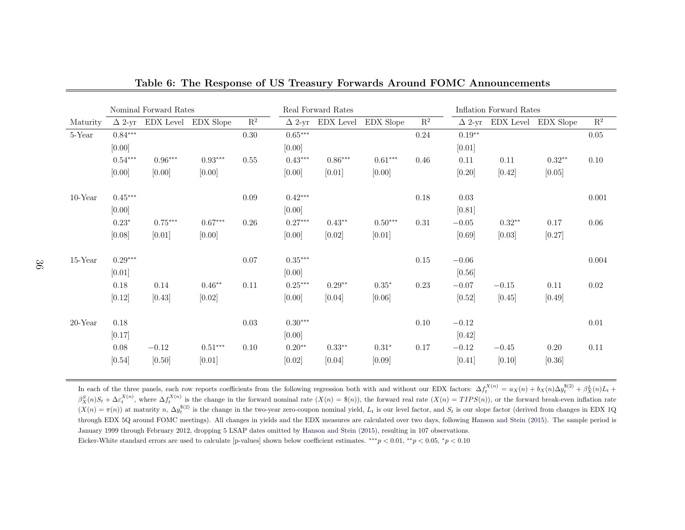|            | Nominal Forward Rates |           |                     |                | Real Forward Rates |                         |           |                | Inflation Forward Rates |          |                     |                |
|------------|-----------------------|-----------|---------------------|----------------|--------------------|-------------------------|-----------|----------------|-------------------------|----------|---------------------|----------------|
| Maturity   | $\Delta$ 2-yr         |           | EDX Level EDX Slope | $\mathbf{R}^2$ |                    | $\Delta$ 2-yr EDX Level | EDX Slope | $\mathbf{R}^2$ | $\Delta$ 2-yr           |          | EDX Level EDX Slope | $\mathbf{R}^2$ |
| 5-Year     | $0.84***$             |           |                     | $0.30\,$       | $0.65***$          |                         |           | 0.24           | $0.19**$                |          |                     | $0.05\,$       |
|            | [0.00]                |           |                     |                | [0.00]             |                         |           |                | [0.01]                  |          |                     |                |
|            | $0.54***$             | $0.96***$ | $0.93***$           | 0.55           | $0.43***$          | $0.86***$               | $0.61***$ | 0.46           | 0.11                    | 0.11     | $0.32**$            | 0.10           |
|            | [0.00]                | [0.00]    | [0.00]              |                | [0.00]             | [0.01]                  | [0.00]    |                | [0.20]                  | $[0.42]$ | [0.05]              |                |
| $10$ -Year | $0.45***$             |           |                     | $0.09\,$       | $0.42***$          |                         |           | 0.18           | 0.03                    |          |                     | $0.001\,$      |
|            | [0.00]                |           |                     |                | [0.00]             |                         |           |                | [0.81]                  |          |                     |                |
|            | $0.23*$               | $0.75***$ | $0.67***$           | $0.26\,$       | $0.27***$          | $0.43**$                | $0.50***$ | 0.31           | $-0.05$                 | $0.32**$ | 0.17                | 0.06           |
|            | [0.08]                | $[0.01]$  | [0.00]              |                | [0.00]             | $[0.02]$                | [0.01]    |                | [0.69]                  | [0.03]   | [0.27]              |                |
| $15$ -Year | $0.29***$             |           |                     | $0.07\,$       | $0.35^{***}\,$     |                         |           | 0.15           | $-0.06$                 |          |                     | 0.004          |
|            | [0.01]                |           |                     |                | [0.00]             |                         |           |                | [0.56]                  |          |                     |                |
|            | 0.18                  | 0.14      | $0.46**$            | $0.11\,$       | $0.25***$          | $0.29**$                | $0.35*$   | 0.23           | $-0.07$                 | $-0.15$  | 0.11                | 0.02           |
|            | [0.12]                | $[0.43]$  | $[0.02]$            |                | [0.00]             | [0.04]                  | [0.06]    |                | [0.52]                  | [0.45]   | [0.49]              |                |
| $20$ -Year | 0.18                  |           |                     | 0.03           | $0.30***$          |                         |           | 0.10           | $-0.12$                 |          |                     | $0.01\,$       |
|            | [0.17]                |           |                     |                | [0.00]             |                         |           |                | $[0.42]$                |          |                     |                |
|            | 0.08                  | $-0.12$   | $0.51***$           | 0.10           | $0.20**$           | $0.33**$                | $0.31*$   | 0.17           | $-0.12$                 | $-0.45$  | 0.20                | 0.11           |
|            | [0.54]                | [0.50]    | [0.01]              |                | [0.02]             | [0.04]                  | [0.09]    |                | [0.41]                  | [0.10]   | [0.36]              |                |

<span id="page-36-0"></span>Table 6: The Response of US Treasury Forwards Around FOMC Announcements

In each of the three panels, each row reports coefficients from the following regression both with and without our EDX factors:  $\Delta f$ In each of the three panels, each row reports coefficients from the following regression both with and without our EDX factors:  $\Delta f_t^{X(n)} = a_X(n) + b_X(n)\Delta y_t^{s(2)} + \beta_X^Y(n)L_t +$ <br> $\beta_X^S(n)S_t + \Delta \epsilon_t^{X(n)}$ , where  $\Delta f_t^{X(n)}$  is the change  $\frac{S}{X}(n)S_t + \Delta \varepsilon$  $\beta_X^S(n)S_t + \Delta \varepsilon_t^{X(n)}$ , where  $\Delta f_t^{X(n)}$  is the change in the forward nominal rate  $(X(n) = \mathcal{S}(n))$ , the forward real rate  $(X(n) = TIPS(n))$ , or the forward break-even inflation rate  $(X(n) = \pi(n))$  at maturity  $n$ ,  $\Delta y_t^{S(2)}$  is the through EDX 5Q around FOMC meetings). All changes in <sup>y</sup>ields and the EDX measures are calculated over two days, following [Hanson](#page-30-13) and Stein ([2015\)](#page-30-13). The sample period is January 1999 through February 2012, dropping 5 LSAP dates omitted by [Hanson](#page-30-13) and Stein [\(2015\)](#page-30-13), resulting in <sup>107</sup> observations. Eicker-White standard errors are used to calculate [p-values] shown below coefficient estimates.  $***p < 0.01, **p < 0.05, *p < 0.10$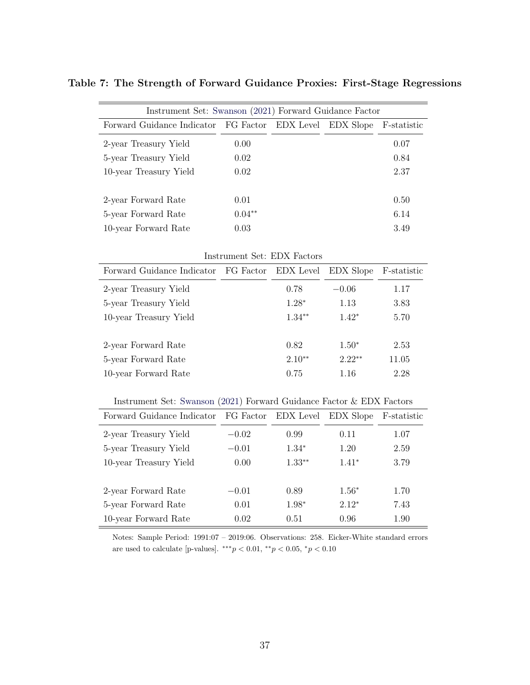<span id="page-37-0"></span>

| Instrument Set: Swanson (2021) Forward Guidance Factor   |          |  |  |             |  |  |  |  |  |
|----------------------------------------------------------|----------|--|--|-------------|--|--|--|--|--|
| Forward Guidance Indicator FG Factor EDX Level EDX Slope |          |  |  | F-statistic |  |  |  |  |  |
| 2-year Treasury Yield                                    | 0.00     |  |  | 0.07        |  |  |  |  |  |
| 5-year Treasury Yield                                    | 0.02     |  |  | 0.84        |  |  |  |  |  |
| 10-year Treasury Yield                                   | 0.02     |  |  | 2.37        |  |  |  |  |  |
|                                                          |          |  |  |             |  |  |  |  |  |
| 2-year Forward Rate                                      | 0.01     |  |  | 0.50        |  |  |  |  |  |
| 5-year Forward Rate                                      | $0.04**$ |  |  | 6.14        |  |  |  |  |  |
| 10-year Forward Rate                                     | 0.03     |  |  | 3.49        |  |  |  |  |  |

Table 7: The Strength of Forward Guidance Proxies: First-Stage Regressions

| Instrument Set: EDX Factors                              |  |          |          |             |  |  |  |  |  |
|----------------------------------------------------------|--|----------|----------|-------------|--|--|--|--|--|
| Forward Guidance Indicator FG Factor EDX Level EDX Slope |  |          |          | F-statistic |  |  |  |  |  |
| 2-year Treasury Yield                                    |  | 0.78     | $-0.06$  | 1.17        |  |  |  |  |  |
| 5-year Treasury Yield                                    |  | $1.28*$  | 1.13     | 3.83        |  |  |  |  |  |
| 10-year Treasury Yield                                   |  | $1.34**$ | $1.42*$  | 5.70        |  |  |  |  |  |
| 2-year Forward Rate                                      |  | 0.82     | $1.50*$  | 2.53        |  |  |  |  |  |
| 5-year Forward Rate                                      |  | $2.10**$ | $2.22**$ | 11.05       |  |  |  |  |  |
| 10-year Forward Rate                                     |  | 0.75     | 1.16     | 2.28        |  |  |  |  |  |

#### Instrument Set: [Swanson](#page-31-2) [\(2021\)](#page-31-2) Forward Guidance Factor & EDX Factors

| Forward Guidance Indicator | FG Factor | EDX Level | EDX Slope | F-statistic |
|----------------------------|-----------|-----------|-----------|-------------|
| 2-year Treasury Yield      | $-0.02$   | 0.99      | 0.11      | 1.07        |
| 5-year Treasury Yield      | $-0.01$   | $1.34*$   | 1.20      | 2.59        |
| 10-year Treasury Yield     | 0.00      | $1.33**$  | $1.41*$   | 3.79        |
|                            |           |           |           |             |
| 2-year Forward Rate        | $-0.01$   | 0.89      | $1.56*$   | 1.70        |
| 5-year Forward Rate        | 0.01      | 1.98*     | $2.12*$   | 7.43        |
| 10-year Forward Rate       | 0.02      | 0.51      | 0.96      | 1.90        |

Notes: Sample Period: 1991:07 – 2019:06. Observations: 258. Eicker-White standard errors are used to calculate [p-values].  $***p < 0.01, **p < 0.05, *p < 0.10$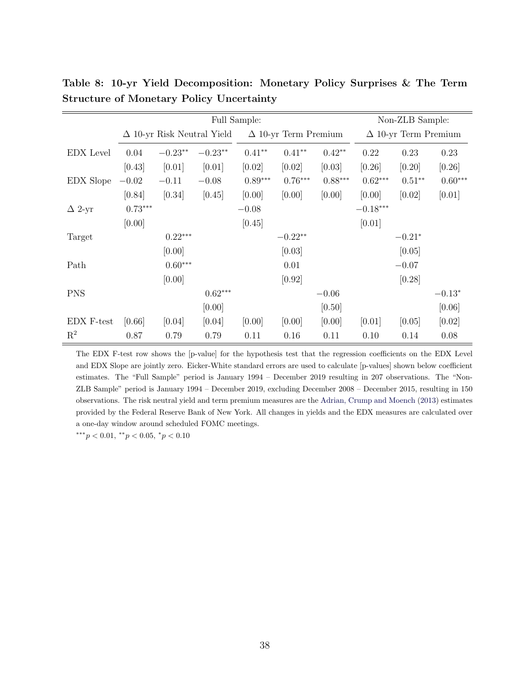|                |           |                                   |           | Non-ZLB Sample: |                             |           |            |                             |           |  |
|----------------|-----------|-----------------------------------|-----------|-----------------|-----------------------------|-----------|------------|-----------------------------|-----------|--|
|                |           | $\Delta$ 10-yr Risk Neutral Yield |           |                 | $\Delta$ 10-yr Term Premium |           |            | $\Delta$ 10-yr Term Premium |           |  |
| EDX Level      | 0.04      | $-0.23**$                         | $-0.23**$ | $0.41**$        | $0.41**$                    | $0.42**$  | 0.22       | 0.23                        | 0.23      |  |
|                | [0.43]    | [0.01]                            | [0.01]    | [0.02]          | [0.02]                      | [0.03]    | [0.26]     | $[0.20]$                    | [0.26]    |  |
| EDX Slope      | $-0.02$   | $-0.11$                           | $-0.08$   | $0.89***$       | $0.76***$                   | $0.88***$ | $0.62***$  | $0.51**$                    | $0.60***$ |  |
|                | [0.84]    | [0.34]                            | [0.45]    | [0.00]          | [0.00]                      | [0.00]    | [0.00]     | [0.02]                      | [0.01]    |  |
| $\Delta$ 2-yr  | $0.73***$ |                                   |           | $-0.08$         |                             |           | $-0.18***$ |                             |           |  |
|                | [0.00]    |                                   |           | [0.45]          |                             |           | [0.01]     |                             |           |  |
| Target         |           | $0.22***$                         |           |                 | $-0.22**$                   |           |            | $-0.21*$                    |           |  |
|                |           | [0.00]                            |           |                 | [0.03]                      |           |            | [0.05]                      |           |  |
| Path           |           | $0.60***$                         |           |                 | 0.01                        |           |            | $-0.07$                     |           |  |
|                |           | [0.00]                            |           |                 | [0.92]                      |           |            | [0.28]                      |           |  |
| <b>PNS</b>     |           |                                   | $0.62***$ |                 |                             | $-0.06$   |            |                             | $-0.13*$  |  |
|                |           |                                   | [0.00]    |                 |                             | [0.50]    |            |                             | [0.06]    |  |
| EDX F-test     | [0.66]    | [0.04]                            | [0.04]    | [0.00]          | [0.00]                      | [0.00]    | [0.01]     | [0.05]                      | [0.02]    |  |
| $\mathrm{R}^2$ | 0.87      | 0.79                              | 0.79      | 0.11            | 0.16                        | 0.11      | 0.10       | 0.14                        | 0.08      |  |

<span id="page-38-0"></span>Table 8: 10-yr Yield Decomposition: Monetary Policy Surprises & The Term Structure of Monetary Policy Uncertainty

The EDX F-test row shows the [p-value] for the hypothesis test that the regression coefficients on the EDX Level and EDX Slope are jointly zero. Eicker-White standard errors are used to calculate [p-values] shown below coefficient estimates. The "Full Sample" period is January 1994 – December 2019 resulting in 207 observations. The "Non-ZLB Sample" period is January 1994 – December 2019, excluding December 2008 – December 2015, resulting in 150 observations. The risk neutral yield and term premium measures are the [Adrian, Crump and Moench](#page-29-11) [\(2013\)](#page-29-11) estimates provided by the Federal Reserve Bank of New York. All changes in yields and the EDX measures are calculated over a one-day window around scheduled FOMC meetings.

∗∗∗p < 0.01, ∗∗p < 0.05, <sup>∗</sup>p < 0.10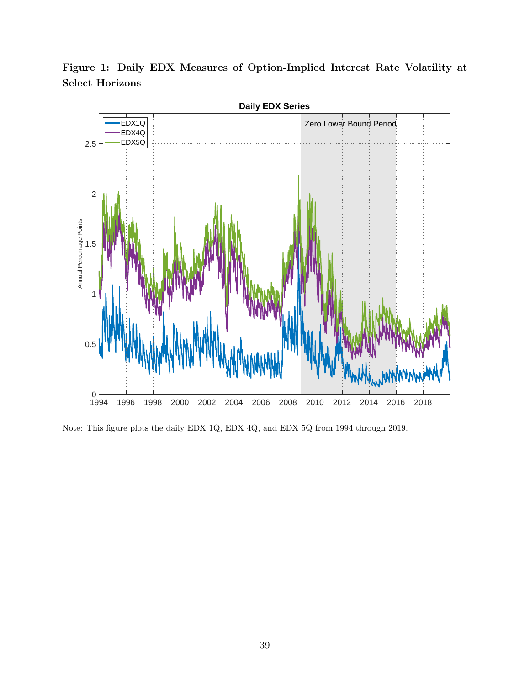<span id="page-39-0"></span>Figure 1: Daily EDX Measures of Option-Implied Interest Rate Volatility at Select Horizons



Note: This figure plots the daily EDX 1Q, EDX 4Q, and EDX 5Q from 1994 through 2019.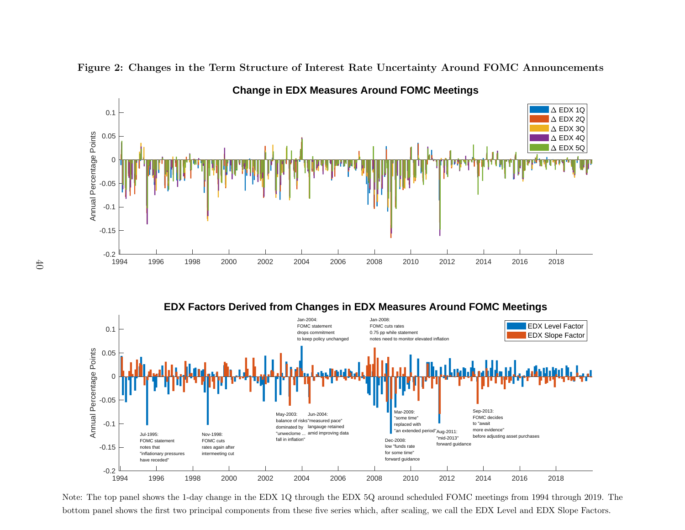

<span id="page-40-0"></span>Figure 2: Changes in the Term Structure of Interest Rate Uncertainty Around FOMC Announcements

**EDX Factors Derived from Changes in EDX Measures Around FOMC Meetings**



Note: The top panel shows the 1-day change in the EDX 1Q through the EDX 5Q around scheduled FOMC meetings from 1994 through 2019. Thebottom panel shows the first two principal components from these five series which, after scaling, we call the EDX Level and EDX Slope Factors.